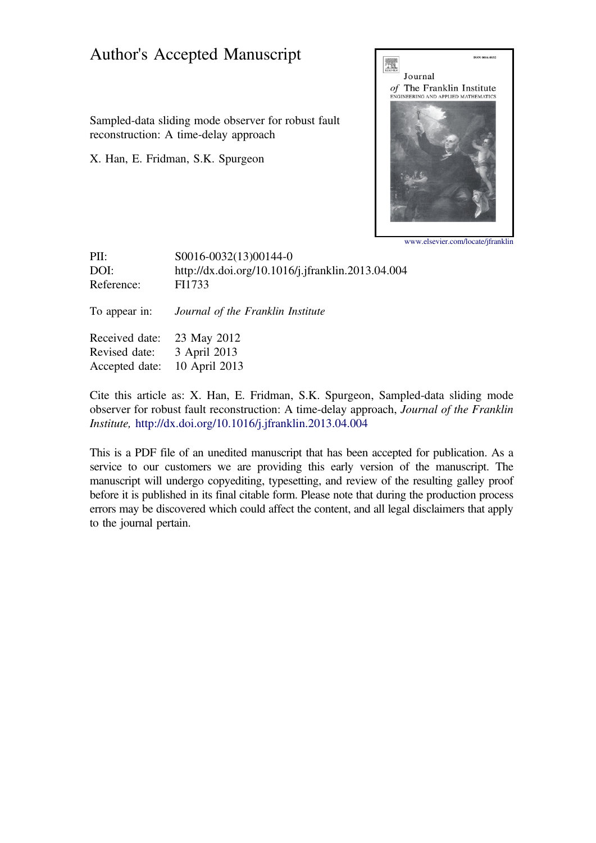# Author's Accepted Manuscript

Sampled-data sliding mode observer for robust fault reconstruction: A time-delay approach

X. Han, E. Fridman, S.K. Spurgeon



www.elsevier.com/locate/jfranklin

PII: S0016-0032(13)00144-0 DOI: [http://dx.doi.org/10.1016/j.jfranklin.2013.04.004](dx.doi.org/10.1016/j.jfranklin.2013.04.004) Reference: FI1733

To appear in: Journal of the Franklin Institute

Received date: 23 May 2012 Revised date: 3 April 2013 Accepted date: 10 April 2013

Cite this article as: X. Han, E. Fridman, S.K. Spurgeon, Sampled-data sliding mode observer for robust fault reconstruction: A time-delay approach, Journal of the Franklin Institute, [http://dx.doi.org/10.1016/j.jfranklin.2013.04.004](dx.doi.org/10.1016/j.jfranklin.2013.04.004)

This is a PDF file of an unedited manuscript that has been accepted for publication. As a service to our customers we are providing this early version of the manuscript. The manuscript will undergo copyediting, typesetting, and review of the resulting galley proof before it is published in its final citable form. Please note that during the production process errors may be discovered which could affect the content, and all legal disclaimers that apply to the journal pertain.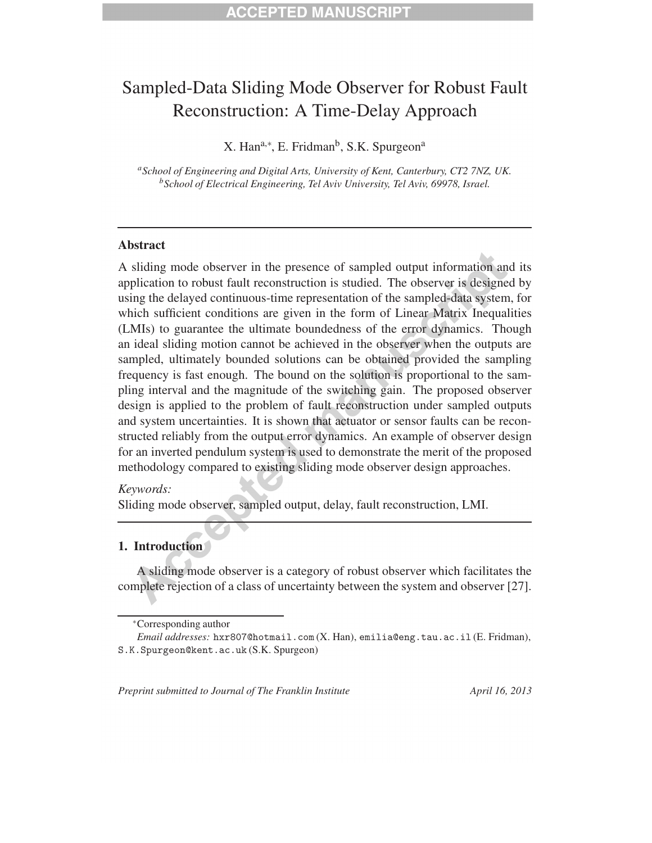# Sampled-Data Sliding Mode Observer for Robust Fault Reconstruction: A Time-Delay Approach

X. Han<sup>a,∗</sup>, E. Fridman<sup>b</sup>, S.K. Spurgeon<sup>a</sup>

*aSchool of Engineering and Digital Arts, University of Kent, Canterbury, CT2 7NZ, UK. bSchool of Electrical Engineering, Tel Aviv University, Tel Aviv, 69978, Israel.*

# **Abstract**

A sliding mode observer in the presence of sampled output information and its application to robust fault reconstruction is studied. The observer is designed by using the delayed continuous-time representation of the sampled-data system, for which sufficient conditions are given in the form of Linear Matrix Inequalities (LMIs) to guarantee the ultimate boundedness of the error dynamics. Though an ideal sliding motion cannot be achieved in the observer when the outputs are sampled, ultimately bounded solutions can be obtained provided the sampling frequency is fast enough. The bound on the solution is proportional to the sampling interval and the magnitude of the switching gain. The proposed observer design is applied to the problem of fault reconstruction under sampled outputs and system uncertainties. It is shown that actuator or sensor faults can be reconstructed reliably from the output error dynamics. An example of observer design for an inverted pendulum system is used to demonstrate the merit of the proposed methodology compared to existing sliding mode observer design approaches.

### *Keywords:*

Sliding mode observer, sampled output, delay, fault reconstruction, LMI.

## **1. Introduction**

A sliding mode observer is a category of robust observer which facilitates the complete rejection of a class of uncertainty between the system and observer [27].

*Preprint submitted to Journal of The Franklin Institute April 16, 2013* 

<sup>∗</sup>Corresponding author

*Email addresses:* hxr807@hotmail.com (X. Han), emilia@eng.tau.ac.il (E. Fridman), S.K.Spurgeon@kent.ac.uk (S.K. Spurgeon)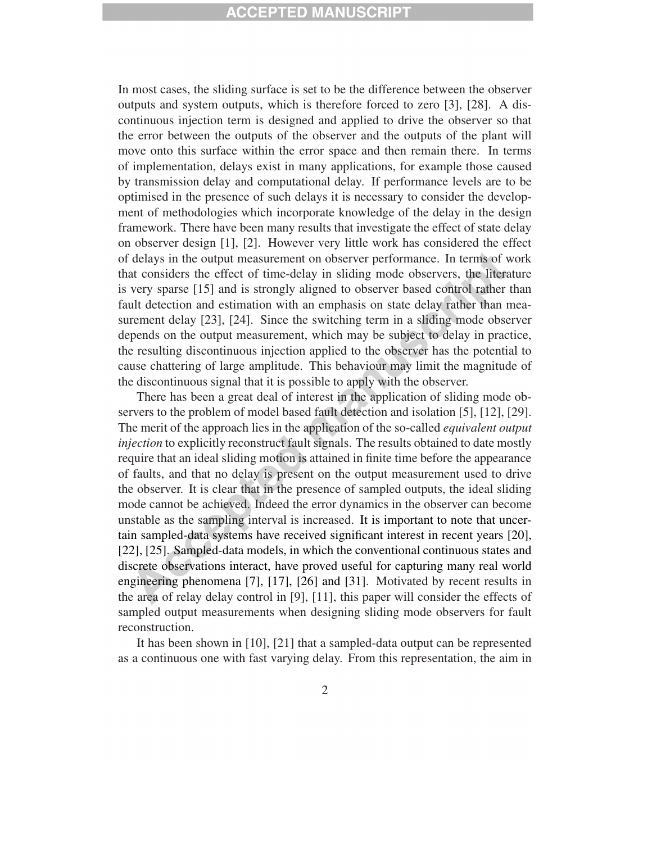# **ACCEPTED MANUSCRIPT**

In most cases, the sliding surface is set to be the difference between the observer outputs and system outputs, which is therefore forced to zero [3], [28]. A discontinuous injection term is designed and applied to drive the observer so that the error between the outputs of the observer and the outputs of the plant will move onto this surface within the error space and then remain there. In terms of implementation, delays exist in many applications, for example those caused by transmission delay and computational delay. If performance levels are to be optimised in the presence of such delays it is necessary to consider the development of methodologies which incorporate knowledge of the delay in the design framework. There have been many results that investigate the effect of state delay on observer design [1], [2]. However very little work has considered the effect of delays in the output measurement on observer performance. In terms of work that considers the effect of time-delay in sliding mode observers, the literature is very sparse [15] and is strongly aligned to observer based control rather than fault detection and estimation with an emphasis on state delay rather than measurement delay [23], [24]. Since the switching term in a sliding mode observer depends on the output measurement, which may be subject to delay in practice, the resulting discontinuous injection applied to the observer has the potential to cause chattering of large amplitude. This behaviour may limit the magnitude of the discontinuous signal that it is possible to apply with the observer.

There has been a great deal of interest in the application of sliding mode observers to the problem of model based fault detection and isolation [5], [12], [29]. The merit of the approach lies in the application of the so-called *equivalent output injection* to explicitly reconstruct fault signals. The results obtained to date mostly require that an ideal sliding motion is attained in finite time before the appearance of faults, and that no delay is present on the output measurement used to drive the observer. It is clear that in the presence of sampled outputs, the ideal sliding mode cannot be achieved. Indeed the error dynamics in the observer can become unstable as the sampling interval is increased. It is important to note that uncertain sampled-data systems have received significant interest in recent years [20], [22], [25]. Sampled-data models, in which the conventional continuous states and discrete observations interact, have proved useful for capturing many real world engineering phenomena [7], [17], [26] and [31]. Motivated by recent results in the area of relay delay control in [9], [11], this paper will consider the effects of sampled output measurements when designing sliding mode observers for fault reconstruction.

It has been shown in [10], [21] that a sampled-data output can be represented as a continuous one with fast varying delay. From this representation, the aim in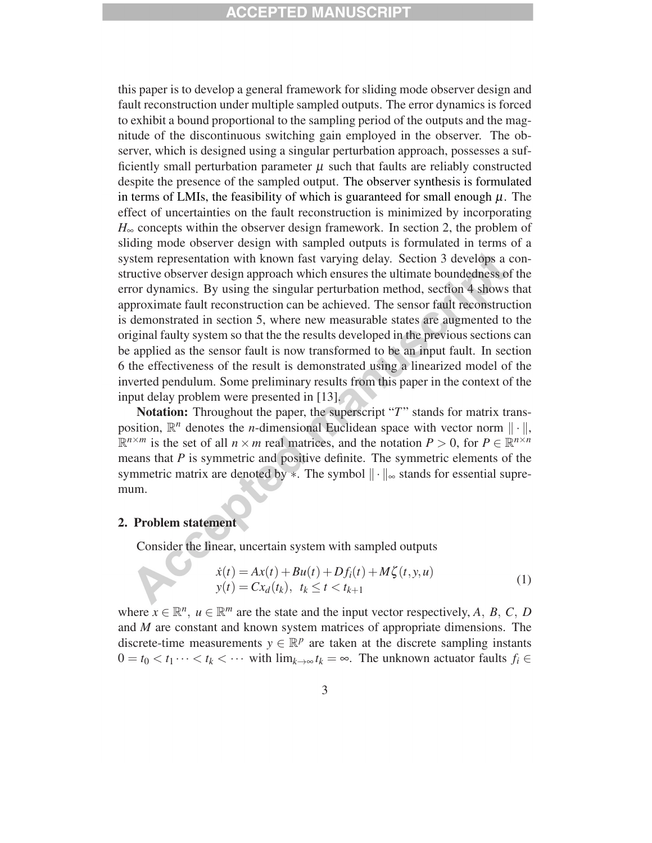this paper is to develop a general framework for sliding mode observer design and fault reconstruction under multiple sampled outputs. The error dynamics is forced to exhibit a bound proportional to the sampling period of the outputs and the magnitude of the discontinuous switching gain employed in the observer. The observer, which is designed using a singular perturbation approach, possesses a sufficiently small perturbation parameter  $\mu$  such that faults are reliably constructed despite the presence of the sampled output. The observer synthesis is formulated in terms of LMIs, the feasibility of which is guaranteed for small enough  $\mu$ . The effect of uncertainties on the fault reconstruction is minimized by incorporating *H*∞ concepts within the observer design framework. In section 2, the problem of sliding mode observer design with sampled outputs is formulated in terms of a system representation with known fast varying delay. Section 3 develops a constructive observer design approach which ensures the ultimate boundedness of the error dynamics. By using the singular perturbation method, section 4 shows that approximate fault reconstruction can be achieved. The sensor fault reconstruction is demonstrated in section 5, where new measurable states are augmented to the original faulty system so that the the results developed in the previous sections can be applied as the sensor fault is now transformed to be an input fault. In section 6 the effectiveness of the result is demonstrated using a linearized model of the inverted pendulum. Some preliminary results from this paper in the context of the input delay problem were presented in [13].

**Notation:** Throughout the paper, the superscript "*T*" stands for matrix transposition,  $\mathbb{R}^n$  denotes the *n*-dimensional Euclidean space with vector norm  $\|\cdot\|$ ,  $\mathbb{R}^{n \times m}$  is the set of all  $n \times m$  real matrices, and the notation  $P > 0$ , for  $P \in \mathbb{R}^{n \times n}$ means that *P* is symmetric and positive definite. The symmetric elements of the symmetric matrix are denoted by  $\ast$ . The symbol  $\|\cdot\|_{\infty}$  stands for essential supremum.

#### **2. Problem statement**

Consider the linear, uncertain system with sampled outputs

$$
\begin{aligned} \dot{x}(t) &= Ax(t) + Bu(t) + Df_i(t) + M\zeta(t, y, u) \\ y(t) &= Cx_d(t_k), \ t_k \le t < t_{k+1} \end{aligned} \tag{1}
$$

where  $x \in \mathbb{R}^n$ ,  $u \in \mathbb{R}^m$  are the state and the input vector respectively, *A*, *B*, *C*, *D* and *M* are constant and known system matrices of appropriate dimensions. The discrete-time measurements  $y \in \mathbb{R}^p$  are taken at the discrete sampling instants  $0 = t_0 < t_1 \cdots < t_k < \cdots$  with  $\lim_{k \to \infty} t_k = \infty$ . The unknown actuator faults  $f_i \in$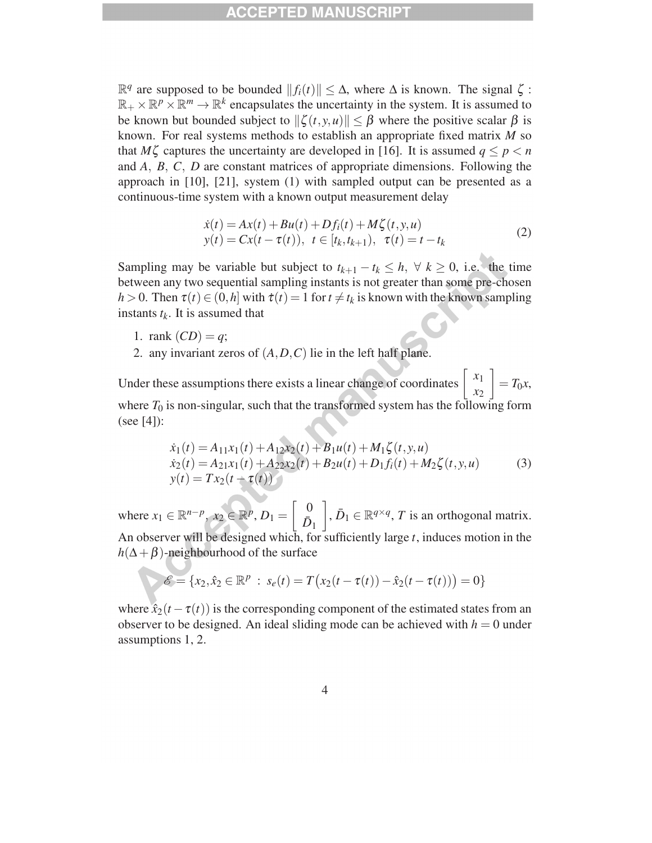$\mathbb{R}^q$  are supposed to be bounded  $||f_i(t)|| \leq \Delta$ , where  $\Delta$  is known. The signal  $\zeta$ :  $\mathbb{R}_+ \times \mathbb{R}^p \times \mathbb{R}^m \to \mathbb{R}^k$  encapsulates the uncertainty in the system. It is assumed to be known but bounded subject to  $\|\zeta(t, y, u)\| < \beta$  where the positive scalar  $\beta$  is known. For real systems methods to establish an appropriate fixed matrix *M* so that *M* $\zeta$  captures the uncertainty are developed in [16]. It is assumed  $q \leq p \leq n$ and *A, B, C, D* are constant matrices of appropriate dimensions. Following the approach in [10], [21], system (1) with sampled output can be presented as a continuous-time system with a known output measurement delay

$$
\begin{aligned} \dot{x}(t) &= Ax(t) + Bu(t) + Df_i(t) + M\zeta(t, y, u) \\ y(t) &= Cx(t - \tau(t)), \ t \in [t_k, t_{k+1}), \ \tau(t) = t - t_k \end{aligned} \tag{2}
$$

Sampling may be variable but subject to  $t_{k+1} - t_k \leq h$ ,  $\forall k \geq 0$ , i.e. the time between any two sequential sampling instants is not greater than some pre-chosen *h* > 0. Then  $\tau(t) \in (0, h]$  with  $\dot{\tau}(t) = 1$  for  $t \neq t_k$  is known with the known sampling instants  $t_k$ . It is assumed that

- 1. rank  $(CD) = q$ ;
- 2. any invariant zeros of (*A,D,C*) lie in the left half plane.

Under these assumptions there exists a linear change of coordinates *x*1 *x*2 1  $=T_0x$ , where  $T_0$  is non-singular, such that the transformed system has the following form (see [4]):

$$
\dot{x}_1(t) = A_{11}x_1(t) + A_{12}x_2(t) + B_1u(t) + M_1\zeta(t, y, u) \n\dot{x}_2(t) = A_{21}x_1(t) + A_{22}x_2(t) + B_2u(t) + D_1f_i(t) + M_2\zeta(t, y, u) \ny(t) = Tx_2(t + \tau(t))
$$
\n(3)

where  $x_1 \in \mathbb{R}^{n-p}$ ,  $x_2 \in \mathbb{R}^p$ ,  $D_1 = \begin{bmatrix} 0 \\ \bar{D} \end{bmatrix}$  $\bar{D}_1$  $\left[ , \bar{D}_1 \in \mathbb{R}^{q \times q}, T \text{ is an orthogonal matrix.} \right]$ An observer will be designed which, for sufficiently large *t*, induces motion in the  $h(\Delta + \beta)$ -neighbourhood of the surface

$$
\mathscr{E} = \{x_2, \hat{x}_2 \in \mathbb{R}^p : s_e(t) = T(x_2(t - \tau(t)) - \hat{x}_2(t - \tau(t))) = 0\}
$$

where  $\hat{x}_2(t-\tau(t))$  is the corresponding component of the estimated states from an observer to be designed. An ideal sliding mode can be achieved with  $h = 0$  under assumptions 1, 2.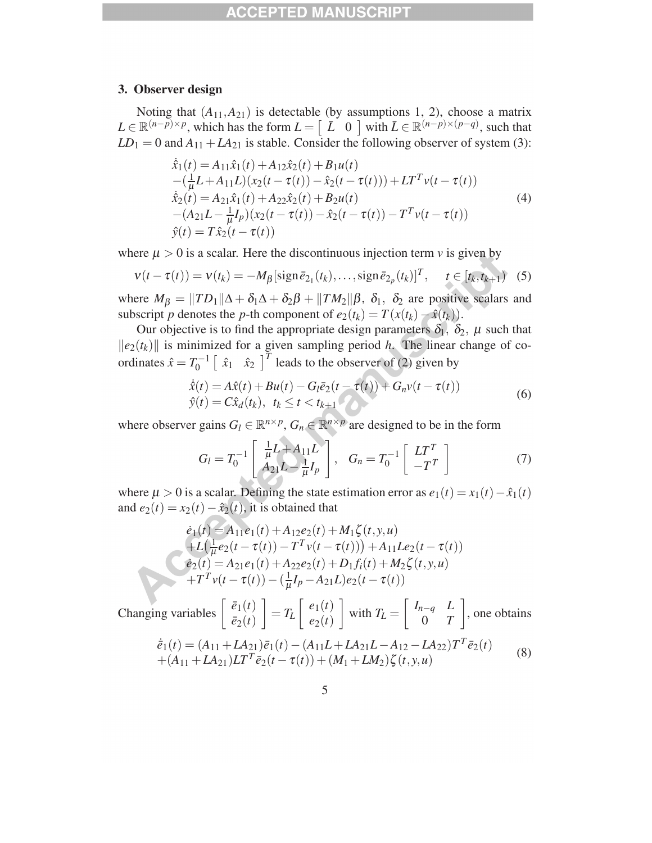#### **3. Observer design**

Noting that  $(A_{11}, A_{21})$  is detectable (by assumptions 1, 2), choose a matrix *L* ∈  $\mathbb{R}^{(n-p)\times p}$ , which has the form *L* =  $\begin{bmatrix} \bar{L} & 0 \end{bmatrix}$  with  $\bar{L}$  ∈  $\mathbb{R}^{(n-p)\times (p-q)}$ , such that  $LD_1 = 0$  and  $A_{11} + LA_{21}$  is stable. Consider the following observer of system (3):

$$
\begin{aligned}\n\dot{\hat{x}}_1(t) &= A_{11}\hat{x}_1(t) + A_{12}\hat{x}_2(t) + B_1u(t) \\
&-\left(\frac{1}{\mu}L + A_{11}L\right)\left(x_2(t - \tau(t)) - \hat{x}_2(t - \tau(t))\right) + LT^T v(t - \tau(t)) \\
\dot{\hat{x}}_2(t) &= A_{21}\hat{x}_1(t) + A_{22}\hat{x}_2(t) + B_2u(t) \\
&- (A_{21}L - \frac{1}{\mu}I_p)\left(x_2(t - \tau(t)) - \hat{x}_2(t - \tau(t))\right) - T^T v(t - \tau(t)) \\
\hat{y}(t) &= T\hat{x}_2(t - \tau(t))\n\end{aligned}\n\tag{4}
$$

where  $\mu > 0$  is a scalar. Here the discontinuous injection term *v* is given by

$$
v(t - \tau(t)) = v(t_k) = -M_\beta \left[ \operatorname{sign} \bar{e}_{2_1}(t_k), \dots, \operatorname{sign} \bar{e}_{2_p}(t_k) \right]^T, \quad t \in [t_k, t_{k+1}) \quad (5)
$$

where  $M_{\beta} = ||TD_1||\Delta + \delta_1\Delta + \delta_2\beta + ||TM_2||\beta$ ,  $\delta_1$ ,  $\delta_2$  are positive scalars and subscript *p* denotes the *p*-th component of  $e_2(t_k) = T(x(t_k) - \hat{x}(t_k))$ .

Our objective is to find the appropriate design parameters  $\delta_1$ ,  $\delta_2$ ,  $\mu$  such that  $||e_2(t_k)||$  is minimized for a given sampling period *h*. The linear change of coordinates  $\hat{x} = T_0^{-1} \begin{bmatrix} \hat{x}_1 & \hat{x}_2 \end{bmatrix}^T$  leads to the observer of (2) given by

$$
\dot{\hat{x}}(t) = A\hat{x}(t) + Bu(t) - G_l \bar{e}_2(t - \tau(t)) + G_n v(t - \tau(t)) \n\hat{y}(t) = C\hat{x}_d(t_k), \quad t_k \le t < t_{k+1}
$$
\n(6)

where observer gains  $G_l \in \mathbb{R}^{n \times p}$ ,  $G_n \in \mathbb{R}^{n \times p}$  are designed to be in the form

$$
G_l = T_0^{-1} \begin{bmatrix} \frac{1}{\mu} L + A_{11} L \\ A_{21} L - \frac{1}{\mu} I_p \end{bmatrix}, \quad G_n = T_0^{-1} \begin{bmatrix} LT^T \\ -T^T \end{bmatrix}
$$
 (7)

where  $\mu > 0$  is a scalar. Defining the state estimation error as  $e_1(t) = x_1(t) - \hat{x}_1(t)$ and  $e_2(t) = x_2(t) - \hat{x}_2(t)$ , it is obtained that

$$
\dot{e}_1(t) = A_{11}e_1(t) + A_{12}e_2(t) + M_1\zeta(t, y, u) \n+L(\frac{1}{\mu}e_2(t - \tau(t)) - T^T v(t - \tau(t))) + A_{11}Le_2(t - \tau(t)) \n\dot{e}_2(t) = A_{21}e_1(t) + A_{22}e_2(t) + D_1f_i(t) + M_2\zeta(t, y, u) \n+T^T v(t - \tau(t)) - (\frac{1}{\mu}I_p - A_{21}L)e_2(t - \tau(t))
$$

Changing variables  $\begin{bmatrix} \bar{e}_1(t) \\ \bar{e}_2(t) \end{bmatrix}$  $\bar{e}_2(t)$ 1  $=T_L$  $\int e_1(t)$  $e_2(t)$ 1 with  $T_L =$  $\left[ \begin{array}{cc} I_{n-q} & L \end{array} \right]$ 0 *T* 1 , one obtains

$$
\dot{\bar{e}}_1(t) = (A_{11} + LA_{21})\bar{e}_1(t) - (A_{11}L + LA_{21}L - A_{12} - LA_{22})T^T\bar{e}_2(t) + (A_{11} + LA_{21})LT^T\bar{e}_2(t - \tau(t)) + (M_1 + LM_2)\zeta(t, y, u)
$$
\n(8)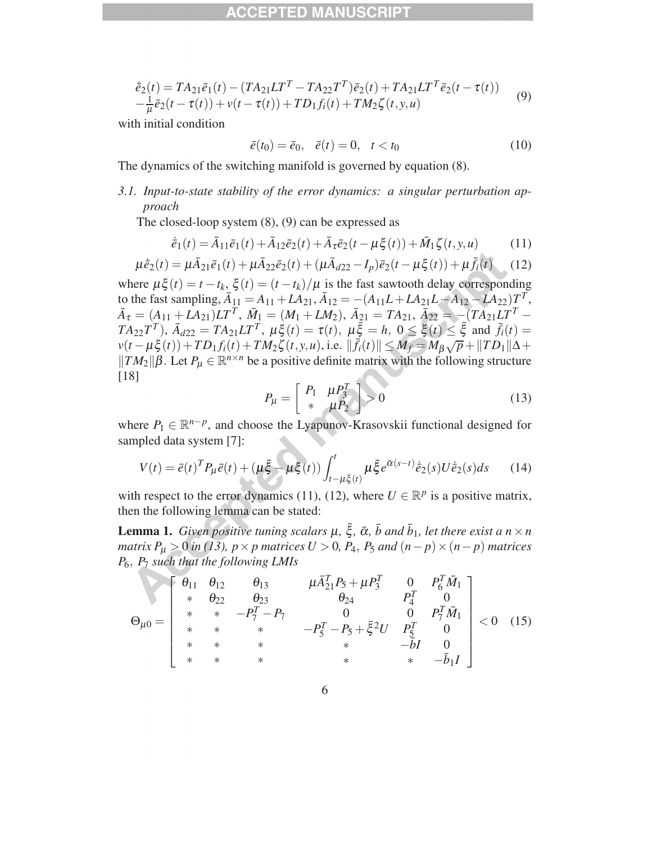$$
\dot{\bar{e}}_2(t) = TA_{21}\bar{e}_1(t) - (TA_{21}LT^T - TA_{22}T^T)\bar{e}_2(t) + TA_{21}LT^T\bar{e}_2(t - \tau(t)) \n- \frac{1}{\mu}\bar{e}_2(t - \tau(t)) + v(t - \tau(t)) + TD_1f_i(t) + TM_2\zeta(t, y, u)
$$
\n(9)

with initial condition

$$
\bar{e}(t_0) = \bar{e}_0, \quad \bar{e}(t) = 0, \quad t < t_0 \tag{10}
$$

The dynamics of the switching manifold is governed by equation (8).

*3.1. Input-to-state stability of the error dynamics: a singular perturbation approach*

The closed-loop system (8), (9) can be expressed as

$$
\dot{\bar{e}}_1(t) = \bar{A}_{11}\bar{e}_1(t) + \bar{A}_{12}\bar{e}_2(t) + \bar{A}_{\tau}\bar{e}_2(t - \mu\xi(t)) + \bar{M}_1\zeta(t, y, u)
$$
(11)

$$
\mu \dot{\bar{e}}_2(t) = \mu \bar{A}_{21} \bar{e}_1(t) + \mu \bar{A}_{22} \bar{e}_2(t) + (\mu \bar{A}_{d22} - I_p) \bar{e}_2(t - \mu \xi(t)) + \mu \bar{f}_i(t) \tag{12}
$$

where  $\mu \xi(t) = t - t_k$ ,  $\xi(t) = (t - t_k)/\mu$  is the fast sawtooth delay corresponding to the fast sampling,  $\bar{A}_{11} = A_{11} + LA_{21}$ ,  $\bar{A}_{12} = -(A_{11}L + LA_{21}L - A_{12} - LA_{22})T^T$ ,  $\bar{A}_{\tau} = (A_{11} + LA_{21})LT^T$ ,  $\bar{M}_1 = (M_1 + LM_2)$ ,  $\bar{A}_{21} = TA_{21}$ ,  $\bar{A}_{22} = -(TA_{21}LT^T TA_{22}T^T$ ),  $\bar{A}_{d22} = TA_{21}LT^T$ ,  $\mu \xi(t) = \tau(t)$ ,  $\mu \bar{\xi} = h$ ,  $0 \leq \xi(t) \leq \bar{\xi}$  and  $\bar{f}_i(t) =$  $\mu(t - \mu \xi(t)) + TD_1 f_i(t) + TM_2 \zeta(t, y, u)$ , i.e.  $\|\bar{f}_i(t)\| \le M_f = M_\beta \sqrt{p} + \|TD_1\| \Delta +$  $||TM_2||\beta$ . Let  $P_\mu \in \mathbb{R}^{n \times n}$  be a positive definite matrix with the following structure [18]

$$
P_{\mu} = \begin{bmatrix} P_1 & \mu P_3^T \\ * & \mu P_2 \end{bmatrix} > 0 \tag{13}
$$

where  $P_1 \in \mathbb{R}^{n-p}$ , and choose the Lyapunov-Krasovskii functional designed for sampled data system [7]:

$$
V(t) = \bar{e}(t)^{T} P_{\mu} \bar{e}(t) + (\mu \bar{\xi} - \mu \xi(t)) \int_{t - \mu \xi(t)}^{t} \mu \bar{\xi} e^{\bar{\alpha}(s-t)} \dot{\bar{e}}_{2}(s) U \dot{\bar{e}}_{2}(s) ds \qquad (14)
$$

with respect to the error dynamics (11), (12), where  $U \in \mathbb{R}^p$  is a positive matrix, then the following lemma can be stated:

**Lemma 1.** *Given positive tuning scalars*  $\mu$ ,  $\bar{\xi}$ ,  $\bar{\alpha}$ ,  $\bar{b}$  and  $\bar{b}_1$ , let there exist a n  $\times$  n *matrix*  $P_{\mu} > 0$  *in* (13),  $p \times p$  *matrices*  $U > 0$ ,  $P_4$ ,  $P_5$  *and*  $(n - p) \times (n - p)$  *matrices P*6*, P*<sup>7</sup> *such that the following LMIs*

$$
\Theta_{\mu 0} = \begin{bmatrix}\n\theta_{11} & \theta_{12} & \theta_{13} & \mu \bar{A}_{21}^T P_5 + \mu P_3^T & 0 & P_6^T \bar{M}_1 \\
\ast & \theta_{22} & \theta_{23} & \theta_{24} & P_4^T & 0 \\
\ast & \ast & -P_7^T - P_7 & 0 & 0 & P_7^T \bar{M}_1 \\
\ast & \ast & \ast & -P_5^T - P_5 + \bar{\xi}^2 U & P_5^T & 0 \\
\ast & \ast & \ast & \ast & -bI & 0 \\
\ast & \ast & \ast & \ast & \ast & -\bar{b}_1 I\n\end{bmatrix} < 0 \quad (15)
$$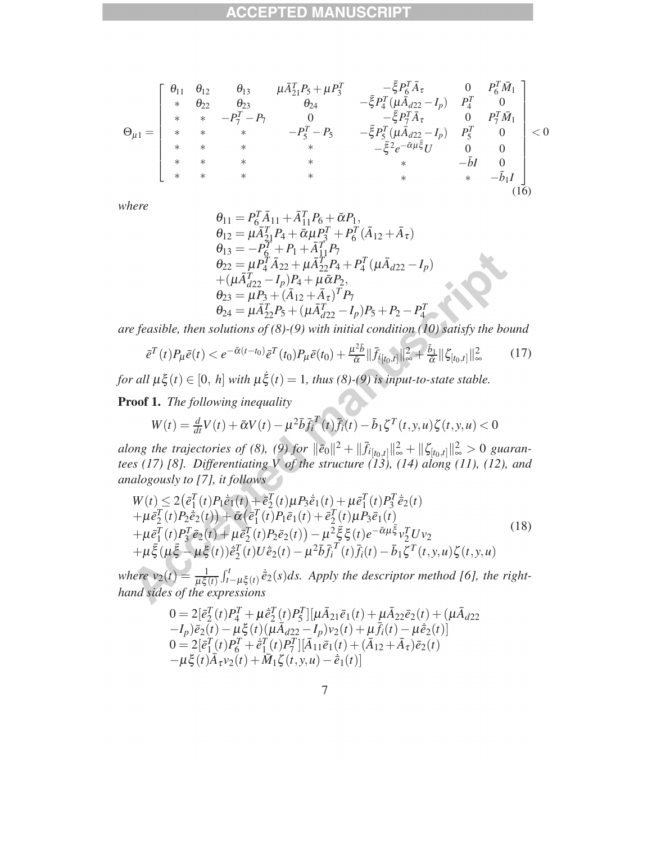#### **ACCEPTED MA** C

$$
\Theta_{\mu 1} = \begin{bmatrix}\n\theta_{11} & \theta_{12} & \theta_{13} & \mu \bar{A}_{21}^T P_5 + \mu P_3^T & -\bar{\xi} P_6^T \bar{A}_{\tau} & 0 & P_6^T \bar{M}_1 \\
\ast & \theta_{22} & \theta_{23} & \theta_{24} & -\bar{\xi} P_4^T (\mu \bar{A}_{d22} - I_p) & P_4^T & 0 \\
\ast & \ast & -P_7^T - P_7 & 0 & -\bar{\xi} P_5^T \bar{A}_{\tau} & 0 & P_7^T \bar{M}_1 \\
\ast & \ast & \ast & -P_5^T - P_5 & -\bar{\xi} P_5^T (\mu \bar{A}_{d22} - I_p) & P_5^T & 0 \\
\ast & \ast & \ast & \ast & \ast & -\bar{b} I & 0 \\
\ast & \ast & \ast & \ast & \ast & -\bar{b} I & 0 \\
\ast & \ast & \ast & \ast & \ast & \ast & -\bar{b}_1 I\n\end{bmatrix}
$$
\n(16)

*where*

$$
\theta_{11} = P_6^T \bar{A}_{11} + \bar{A}_{11}^T P_6 + \bar{\alpha} P_1, \n\theta_{12} = \mu \bar{A}_{21}^T P_4 + \bar{\alpha} \mu P_3^T + P_6^T (\bar{A}_{12} + \bar{A}_\tau) \n\theta_{13} = -P_6^T + P_1 + \bar{A}_{11}^T P_7 \n\theta_{22} = \mu P_4^T \bar{A}_{22} + \mu \bar{A}_{22}^T P_4 + P_4^T (\mu \bar{A}_{d22} - I_p) \n+ (\mu \bar{A}_{d22}^T - I_p) P_4 + \mu \bar{\alpha} P_2, \n\theta_{23} = \mu P_3 + (\bar{A}_{12} + \bar{A}_\tau)^T P_7 \n\theta_{24} = \mu \bar{A}_{22}^T P_5 + (\mu \bar{A}_{d22}^T - I_p) P_5 + P_2 - P_4^T
$$

*are feasible, then solutions of (8)-(9) with initial condition (10) satisfy the bound*

$$
\bar{e}^T(t)P_\mu\bar{e}(t) < e^{-\bar{\alpha}(t-t_0)}\bar{e}^T(t_0)P_\mu\bar{e}(t_0) + \frac{\mu^2\bar{b}}{\bar{\alpha}}||\bar{f}_{i[t_0,t]}||^2_\infty + \frac{\bar{b}_1}{\bar{\alpha}}||\zeta_{[t_0,t]}||^2_\infty \tag{17}
$$

*for all*  $\mu \xi(t) \in [0, h]$  *with*  $\mu \dot{\xi}(t) = 1$ *, thus* (8)-(9) *is input-to-state stable.* 

**Proof 1.** *The following inequality*

$$
W(t) = \frac{d}{dt}V(t) + \bar{\alpha}V(t) - \mu^2 \bar{b} \bar{f}_i^T(t) \bar{f}_i(t) - \bar{b}_1 \zeta^T(t, y, u) \zeta(t, y, u) < 0
$$

 $a$ long the trajectories of (8), (9) for  $\|\bar{e}_0\|^2 + \|\bar{f}_{i[t_0,t]}\|_{\infty}^2 + \|\zeta_{[t_0,t]}\|_{\infty}^2 > 0$  guaran*tees (17) [8]. Differentiating V of the structure (13), (14) along (11), (12), and analogously to [7], it follows*

$$
W(t) \le 2(\bar{e}_1^T(t)P_1\dot{e}_1(t) + \bar{e}_2^T(t)\mu P_3\dot{e}_1(t) + \mu \bar{e}_1^T(t)P_3^T\dot{e}_2(t) + \mu \bar{e}_2^T(t)P_2\dot{e}_2(t)) + \bar{\alpha}(\bar{e}_1^T(t)P_1\bar{e}_1(t) + \bar{e}_2^T(t)\mu P_3\bar{e}_1(t) + \mu \bar{e}_1^T(t)P_3^T\bar{e}_2(t) + \mu \bar{e}_2^T(t)P_2\bar{e}_2(t)) - \mu^2 \bar{\xi} \xi(t)e^{-\bar{\alpha}\mu \bar{\xi}}v_2^T Uv_2 + \mu \bar{\xi}(\mu \bar{\xi} - \mu \xi(t))\dot{e}_2^T(t)U\dot{e}_2(t) - \mu^2 \bar{b}_1^T(t)\bar{f}_i(t) - \bar{b}_1\zeta^T(t, y, u)\zeta(t, y, u)
$$
\n(18)

where  $v_2(t) = \frac{1}{\mu \xi(t)} \int_{t-\mu \xi(t)}^{t} \dot{e}_2(s) ds$ . Apply the descriptor method [6], the right*hand sides of the expressions*

$$
0 = 2[\bar{e}_2^T(t)P_4^T + \mu \bar{e}_2^T(t)P_5^T][\mu \bar{A}_{21}\bar{e}_1(t) + \mu \bar{A}_{22}\bar{e}_2(t) + (\mu \bar{A}_{d22} - I_p)\bar{e}_2(t) - \mu \xi(t)(\mu \bar{A}_{d22} - I_p)v_2(t) + \mu \bar{f}_i(t) - \mu \bar{e}_2(t)]
$$
  
\n
$$
0 = 2[\bar{e}_1^T(t)P_6^T + \bar{e}_1^T(t)P_7^T][\bar{A}_{11}\bar{e}_1(t) + (\bar{A}_{12} + \bar{A}_{\tau})\bar{e}_2(t) - \mu \xi(t)\bar{A}_{\tau}v_2(t) + \bar{M}_1\zeta(t, y, u) - \bar{e}_1(t)]
$$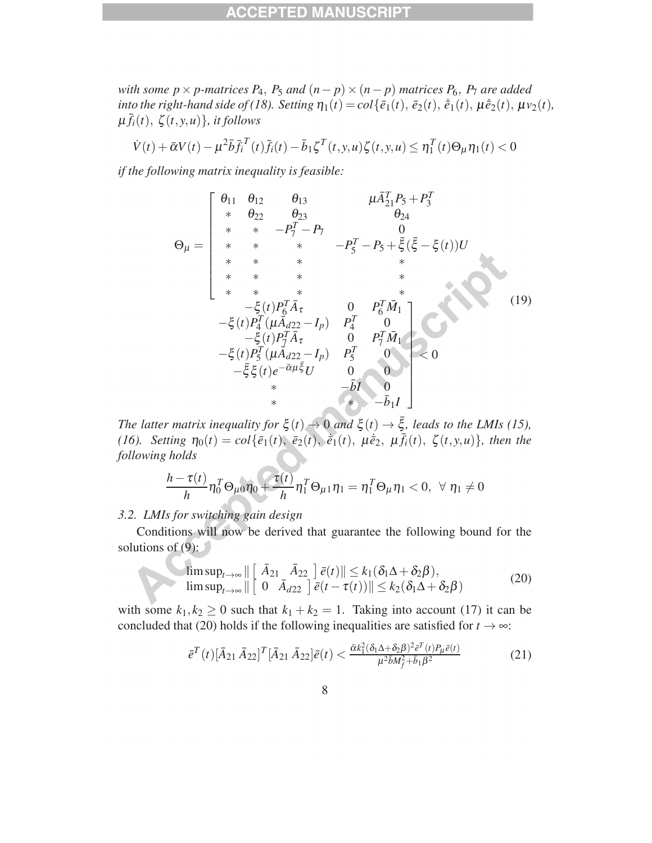*with some p*  $\times$  *p*-matrices  $P_4$ ,  $P_5$  *and*  $(n-p) \times (n-p)$  *matrices*  $P_6$ ,  $P_7$  *are added into the right-hand side of (18). Setting*  $\eta_1(t) = \text{col}\{\bar{e}_1(t), \bar{e}_2(t), \dot{e}_1(t), \mu\bar{e}_2(t), \mu v_2(t)$ ,  $\mu \bar{f}_i(t), \zeta(t, y, u)$ *}, it follows* 

$$
\dot{V}(t) + \bar{\alpha}V(t) - \mu^{2}\bar{b}\bar{f}_{i}^{T}(t)\bar{f}_{i}(t) - \bar{b}_{1}\zeta^{T}(t,y,u)\zeta(t,y,u) \leq \eta_{1}^{T}(t)\Theta_{\mu}\eta_{1}(t) < 0
$$

*if the following matrix inequality is feasible:*

$$
\Theta_{\mu} = \begin{bmatrix}\n\theta_{11} & \theta_{12} & \theta_{13} & \mu \bar{A}_{21}^T P_5 + P_3^T \\
\ast & \theta_{22} & \theta_{23} & \theta_{24} \\
\ast & \ast & -P_7^T - P_7 & 0 \\
\ast & \ast & \ast & -P_5^T - P_5 + \bar{\xi} (\bar{\xi} - \xi(t))U \\
\ast & \ast & \ast & \ast \\
\ast & \ast & \ast & \ast \\
\ast & \ast & \ast & \ast \\
-\xi(t) P_4^T (\mu \bar{A}_{d22} - I_p) & P_4^T & 0 \\
-\xi(t) P_5^T (\mu \bar{A}_{d22} - I_p) & P_5^T & 0 \\
-\xi(t) P_5^T (\mu \bar{A}_{d22} - I_p) & P_5^T & 0 \\
-\bar{\xi} \xi(t) e^{-\bar{\alpha}\mu \bar{\xi}} U & 0 & 0 \\
\ast & -\bar{b}I & 0 \\
\ast & -\bar{b}I & 0\n\end{bmatrix} < 0
$$
\n(19)

*The latter matrix inequality for*  $\xi(t) \to 0$  *and*  $\xi(t) \to \overline{\xi}$ , *leads to the LMIs* (15), (16). Setting  $\eta_0(t) = col\{\bar{e}_1(t), \bar{e}_2(t), \bar{e}_1(t), \mu \bar{e}_2, \mu \bar{f}_i(t), \zeta(t, y, u)\}\$ , then the *following holds*

$$
\frac{h-\tau(t)}{h}\eta_0^T\Theta_{\mu 0}\eta_0 + \frac{\tau(t)}{h}\eta_1^T\Theta_{\mu 1}\eta_1 = \eta_1^T\Theta_{\mu}\eta_1 < 0, \ \forall \eta_1 \neq 0
$$

# *3.2. LMIs for switching gain design*

Conditions will now be derived that guarantee the following bound for the solutions of  $(9)$ :

$$
\limsup_{t \to \infty} \|\begin{bmatrix} \bar{A}_{21} & \bar{A}_{22} \\ 0 & \bar{A}_{22} \end{bmatrix} \vec{e}(t)\| \le k_1(\delta_1 \Delta + \delta_2 \beta),
$$
  
\n
$$
\limsup_{t \to \infty} \|\begin{bmatrix} 0 & \bar{A}_{d22} \\ 0 & \bar{A}_{d22} \end{bmatrix} \vec{e}(t - \tau(t))\| \le k_2(\delta_1 \Delta + \delta_2 \beta)
$$
 (20)

with some  $k_1, k_2 \ge 0$  such that  $k_1 + k_2 = 1$ . Taking into account (17) it can be concluded that (20) holds if the following inequalities are satisfied for  $t \rightarrow \infty$ :

$$
\bar{e}^{T}(t)[\bar{A}_{21}\,\bar{A}_{22}]^{T}[\bar{A}_{21}\,\bar{A}_{22}]\bar{e}(t) < \frac{\bar{\alpha}k_{1}^{2}(\delta_{1}\Delta+\delta_{2}\beta)^{2}\bar{e}^{T}(t)P_{\mu}\bar{e}(t)}{\mu^{2}\bar{b}M_{f}^{2}+\bar{b}_{1}\beta^{2}} \tag{21}
$$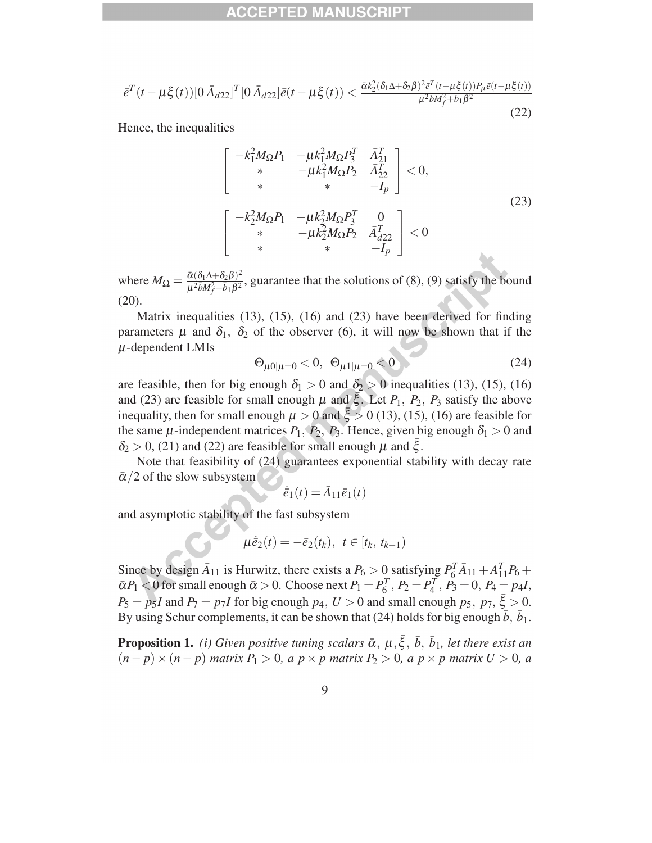$$
\bar{e}^{T}(t-\mu\xi(t))[0\,\bar{A}_{d22}]^{T}[0\,\bar{A}_{d22}]\bar{e}(t-\mu\xi(t)) < \frac{\bar{\alpha}k_{2}^{2}(\delta_{1}\Delta+\delta_{2}\beta)^{2}\bar{e}^{T}(t-\mu\xi(t))P_{\mu}\bar{e}(t-\mu\xi(t))}{\mu^{2}\bar{b}M_{f}^{2}+\bar{b}_{1}\beta^{2}}
$$
\n(22)

Hence, the inequalities

$$
\begin{bmatrix}\n-k_1^2 M_{\Omega} P_1 & -\mu k_1^2 M_{\Omega} P_3^T & \bar{A}_{21}^T \\
\ast & -\mu k_1^2 M_{\Omega} P_2 & \bar{A}_{22}^T \\
\ast & \ast & -I_p\n\end{bmatrix} < 0,
$$
\n
$$
\begin{bmatrix}\n-k_2^2 M_{\Omega} P_1 & -\mu k_2^2 M_{\Omega} P_3^T & 0 \\
\ast & -\mu k_2^2 M_{\Omega} P_2 & \bar{A}_{d22}^T \\
\ast & \ast & -I_p\n\end{bmatrix} < 0
$$
\n(23)

where  $M_{\Omega} = \frac{\bar{\alpha}(\delta_1 \Delta + \delta_2 \beta)^2}{\mu^2 \bar{b} M_f^2 + \bar{b}_1 \beta^2}$ , guarantee that the solutions of (8), (9) satisfy the bound (20).

Matrix inequalities (13), (15), (16) and (23) have been derived for finding parameters  $\mu$  and  $\delta_1$ ,  $\delta_2$  of the observer (6), it will now be shown that if the μ-dependent LMIs

$$
\Theta_{\mu 0|\mu=0} < 0, \ \Theta_{\mu 1|\mu=0} < 0 \tag{24}
$$

are feasible, then for big enough  $\delta_1 > 0$  and  $\delta_2 > 0$  inequalities (13), (15), (16) and (23) are feasible for small enough  $\mu$  and  $\bar{\xi}$ . Let  $P_1$ ,  $P_2$ ,  $P_3$  satisfy the above inequality, then for small enough  $\mu > 0$  and  $\bar{\xi} > 0$  (13), (15), (16) are feasible for the same  $\mu$ -independent matrices  $P_1$ ,  $P_2$ ,  $P_3$ . Hence, given big enough  $\delta_1 > 0$  and  $\delta_2$  > 0, (21) and (22) are feasible for small enough  $\mu$  and  $\bar{\xi}$ .

Note that feasibility of (24) guarantees exponential stability with decay rate  $\bar{\alpha}/2$  of the slow subsystem

$$
\dot{\vec{e}}_1(t) = \bar{A}_{11}\bar{e}_1(t)
$$

and asymptotic stability of the fast subsystem

$$
\mu \dot{\bar{e}}_2(t) = -\bar{e}_2(t_k), \ t \in [t_k, t_{k+1})
$$

Since by design  $\bar{A}_{11}$  is Hurwitz, there exists a  $P_6 > 0$  satisfying  $P_6^T \bar{A}_{11} + A_{11}^T P_6 +$  $\bar{\alpha}P_1 < 0$  for small enough  $\bar{\alpha} > 0$ . Choose next  $P_1 = P_6^T$ ,  $P_2 = P_4^T$ ,  $P_3 = 0$ ,  $P_4 = p_4 I$ ,  $P_5 = p_5 I$  and  $P_7 = p_7 I$  for big enough  $p_4$ ,  $U > 0$  and small enough  $p_5$ ,  $p_7$ ,  $\bar{\xi} > 0$ . By using Schur complements, it can be shown that (24) holds for big enough  $\bar{b}$ ,  $\bar{b}_1$ .

**Proposition 1.** *(i)* Given positive tuning scalars  $\bar{\alpha}$ ,  $\mu$ ,  $\bar{\xi}$ ,  $\bar{b}$ ,  $\bar{b}_1$ , let there exist an (*n*− *p*)×(*n*− *p*) *matrix P*<sup>1</sup> *>* 0*,ap*× *p matrix P*<sup>2</sup> *>* 0*,ap*× *p matrix U >* 0*, a*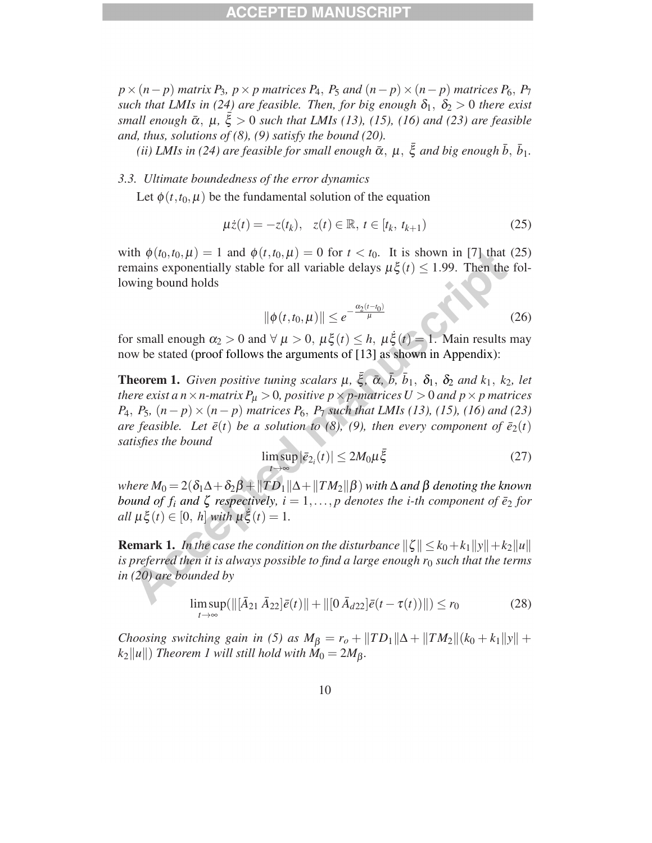$p \times (n-p)$  *matrix P*<sub>3</sub>*,*  $p \times p$  *matrices P*<sub>4</sub>*, P*<sub>5</sub> *and*  $(n-p) \times (n-p)$  *matrices P*<sub>6</sub>*, P*<sub>7</sub> *such that LMIs in (24) are feasible. Then, for big enough*  $\delta_1$ ,  $\delta_2$  > 0 *there exist small enough*  $\bar{\alpha}$ ,  $\mu$ ,  $\bar{\xi} > 0$  *such that LMIs* (13), (15), (16) and (23) are feasible *and, thus, solutions of (8), (9) satisfy the bound (20).*

 $(iii)$  LMIs in (24) are feasible for small enough  $\bar{\alpha}$ ,  $\mu$ ,  $\bar{\xi}$  and big enough  $\bar{b}$ ,  $\bar{b}_1$ .

*3.3. Ultimate boundedness of the error dynamics*

Let  $\phi(t, t_0, \mu)$  be the fundamental solution of the equation

$$
\mu \dot{z}(t) = -z(t_k), \quad z(t) \in \mathbb{R}, \ t \in [t_k, t_{k+1}) \tag{25}
$$

with  $\phi(t_0, t_0, \mu) = 1$  and  $\phi(t, t_0, \mu) = 0$  for  $t < t_0$ . It is shown in [7] that (25) remains exponentially stable for all variable delays  $\mu \xi(t) \leq 1.99$ . Then the following bound holds

$$
\|\phi(t,t_0,\mu)\| \le e^{-\frac{\alpha_2(t-t_0)}{\mu}}
$$
\n(26)

for small enough  $\alpha_2 > 0$  and  $\forall \mu > 0$ ,  $\mu \xi(t) \leq h$ ,  $\mu \dot{\xi}(t) = 1$ . Main results may now be stated (proof follows the arguments of [13] as shown in Appendix):

**Theorem 1.** *Given positive tuning scalars*  $\mu$ ,  $\bar{\xi}$ ,  $\bar{\alpha}$ ,  $\bar{b}$ ,  $\bar{b}_1$ ,  $\delta_1$ ,  $\delta_2$  *and*  $k_1$ ,  $k_2$ , *let there exist a n*  $\times$ *n-matrix P*<sub>μ</sub>  $>$  0*, positive p* $\times$ *p-matrices U*  $>$  0 *and p* $\times$  *p matrices P*<sub>4</sub>*, P*<sub>5</sub>*,*  $(n-p) \times (n-p)$  *matrices P*<sub>6</sub>*, P*<sub>1</sub> *such that LMIs* (13)*,* (15)*,* (16) *and* (23) *are feasible. Let*  $\bar{e}(t)$  *be a solution to (8), (9), then every component of*  $\bar{e}_2(t)$ *satisfies the bound*

$$
\limsup_{t \to \infty} |\bar{e}_{2_i}(t)| \le 2M_0 \mu \bar{\xi}
$$
\n(27)

*where*  $M_0 = 2(\delta_1 \Delta + \delta_2 \beta + ||TD_1||\Delta + ||TM_2||\beta)$  *with*  $\Delta$  *and*  $\beta$  *denoting the known bound of f<sub>i</sub> and*  $\zeta$  *respectively, i* = 1*,...,p denotes the i-th component of*  $\bar{e}_2$  *for*  $all \mu \xi(t) \in [0, h]$  *with*  $\mu \xi(t) = 1$ .

**Remark 1.** *In the case the condition on the disturbance*  $\|\zeta\| \leq k_0 + k_1 \|y\| + k_2 \|u\|$ *is preferred then it is always possible to find a large enough*  $r_0$  *such that the terms in (20) are bounded by*

$$
\limsup_{t \to \infty} (\|[\bar{A}_{21} \, \bar{A}_{22}] \bar{e}(t)\| + \|[0 \, \bar{A}_{d22}] \bar{e}(t - \tau(t))\|) \le r_0 \tag{28}
$$

*Choosing switching gain in (5) as*  $M_{\beta} = r_o + ||TD_1||\Delta + ||TM_2||(k_0 + k_1||y|| +$  $k_2$ || $u$ ||) *Theorem 1 will still hold with*  $M_0 = 2M_\beta$ .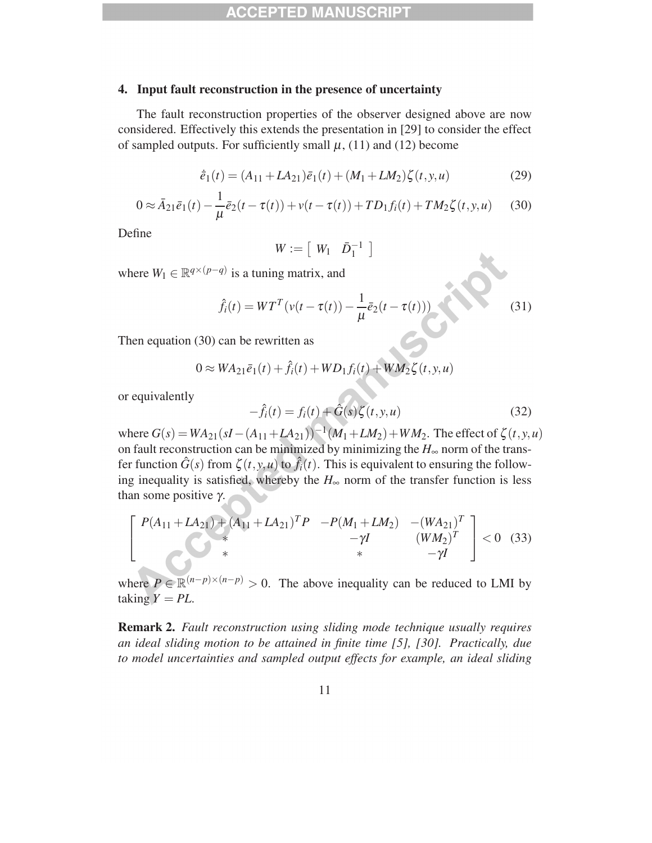#### **4. Input fault reconstruction in the presence of uncertainty**

The fault reconstruction properties of the observer designed above are now considered. Effectively this extends the presentation in [29] to consider the effect of sampled outputs. For sufficiently small  $\mu$ , (11) and (12) become

$$
\dot{\bar{e}}_1(t) = (A_{11} + LA_{21})\bar{e}_1(t) + (M_1 + LM_2)\zeta(t, y, u)
$$
\n(29)

$$
0 \approx \bar{A}_{21}\bar{e}_1(t) - \frac{1}{\mu}\bar{e}_2(t - \tau(t)) + v(t - \tau(t)) + TD_1f_i(t) + TM_2\zeta(t, y, u)
$$
(30)

Define

$$
W := \left[ \begin{array}{cc} W_1 & \bar{D}_1^{-1} \end{array} \right]
$$

where  $W_1 \in \mathbb{R}^{q \times (p-q)}$  is a tuning matrix, and

$$
\hat{f}_i(t) = WT^T \left( v(t - \tau(t)) - \frac{1}{\mu} \bar{e}_2(t - \tau(t)) \right) \tag{31}
$$

Then equation (30) can be rewritten as

$$
0 \approx WA_{21}\bar{e}_1(t) + \hat{f}_i(t) + WD_1f_i(t) + WM_2\zeta(t, y, u)
$$

or equivalently

$$
-\hat{f}_i(t) = f_i(t) + \hat{G}(s)\zeta(t, y, u)
$$
\n(32)

where  $G(s) = WA_{21}(sI - (A_{11} + LA_{21}))^{-1}(M_1 + LM_2) + WM_2$ . The effect of  $\zeta(t, y, u)$ on fault reconstruction can be minimized by minimizing the  $H_{\infty}$  norm of the transfer function  $\hat{G}(s)$  from  $\zeta(t, y, u)$  to  $\hat{f}_i(t)$ . This is equivalent to ensuring the following inequality is satisfied, whereby the  $H_{\infty}$  norm of the transfer function is less than some positive  $γ$ .

$$
\begin{bmatrix}\nP(A_{11} + LA_{21}) + (A_{11} + LA_{21})^T P & -P(M_1 + LM_2) & -(WA_{21})^T \\
\ast & -\gamma I & (WM_2)^T \\
\ast & -\gamma I\n\end{bmatrix} < 0 \quad (33)
$$

where  $P \in \mathbb{R}^{(n-p)\times(n-p)} > 0$ . The above inequality can be reduced to LMI by taking  $Y = PL$ .

**Remark 2.** *Fault reconstruction using sliding mode technique usually requires an ideal sliding motion to be attained in finite time [5], [30]. Practically, due to model uncertainties and sampled output effects for example, an ideal sliding*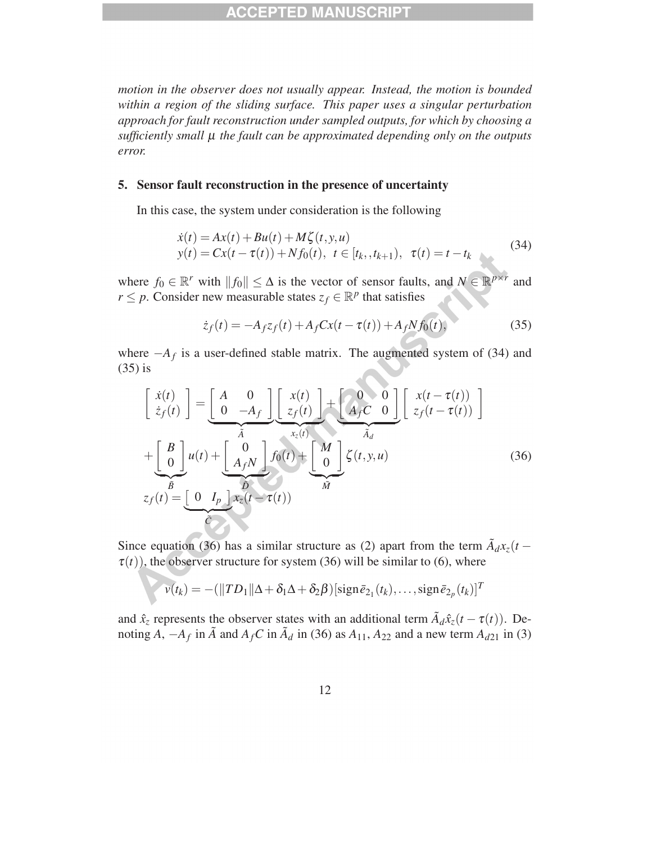*motion in the observer does not usually appear. Instead, the motion is bounded within a region of the sliding surface. This paper uses a singular perturbation approach for fault reconstruction under sampled outputs, for which by choosing a sufficiently small* μ *the fault can be approximated depending only on the outputs error.*

#### **5. Sensor fault reconstruction in the presence of uncertainty**

In this case, the system under consideration is the following

$$
\dot{x}(t) = Ax(t) + Bu(t) + M\zeta(t, y, u)
$$
  
\n
$$
y(t) = Cx(t - \tau(t)) + Nf_0(t), \ t \in [t_k, t_{k+1}), \ \tau(t) = t - t_k
$$
\n(34)

where  $f_0 \in \mathbb{R}^r$  with  $||f_0|| \leq \Delta$  is the vector of sensor faults, and  $N \in \mathbb{R}^{p \times r}$  and *r*  $\leq$  *p*. Consider new measurable states  $z_f \in \mathbb{R}^p$  that satisfies

$$
\dot{z}_f(t) = -A_f z_f(t) + A_f C x(t - \tau(t)) + A_f N f_0(t),
$$
\n(35)

where  $-A_f$  is a user-defined stable matrix. The augmented system of (34) and (35) is

$$
\begin{bmatrix}\n\dot{x}(t) \\
\dot{z}_f(t)\n\end{bmatrix} = \underbrace{\begin{bmatrix}\nA & 0 \\
0 & -A_f\n\end{bmatrix}}_{\tilde{A}} \underbrace{\begin{bmatrix}\nx(t) \\
z_f(t)\n\end{bmatrix}}_{\tilde{X}_f(t)} + \underbrace{\begin{bmatrix}\n0 & 0 \\
A_f C & 0\n\end{bmatrix}}_{\tilde{A}_d} \underbrace{\begin{bmatrix}\nx(t-\tau(t)) \\
z_f(t-\tau(t))\n\end{bmatrix}}_{\tilde{A}_d}
$$
\n
$$
+ \underbrace{\begin{bmatrix}\nB \\
0\n\end{bmatrix}}_{\tilde{B}} u(t) + \underbrace{\begin{bmatrix}\n0 \\
A_f N\n\end{bmatrix}}_{\tilde{D}} f_0(t) + \underbrace{\begin{bmatrix}\nM \\
0\n\end{bmatrix}}_{\tilde{M}} \zeta(t, y, u)
$$
\n(36)\n
$$
z_f(t) = \underbrace{\begin{bmatrix}\n0 & I_p\n\end{bmatrix}}_{\tilde{C}} \overline{x}_z(t-\tau(t))}
$$

Since equation (36) has a similar structure as (2) apart from the term  $\tilde{A}_d x_z(t - \tilde{\theta})$  $\tau(t)$ ), the observer structure for system (36) will be similar to (6), where

$$
v(t_k) = -(||TD_1||\Delta + \delta_1\Delta + \delta_2\beta)[\operatorname{sign}\bar{e}_{2_1}(t_k), \ldots, \operatorname{sign}\bar{e}_{2_p}(t_k)]^T
$$

and  $\hat{x}_z$  represents the observer states with an additional term  $\tilde{A}_d \hat{x}_z(t - \tau(t))$ . Denoting *A*,  $-A_f$  in  $\tilde{A}$  and  $A_fC$  in  $\tilde{A}_d$  in (36) as  $A_{11}$ ,  $A_{22}$  and a new term  $A_{d21}$  in (3)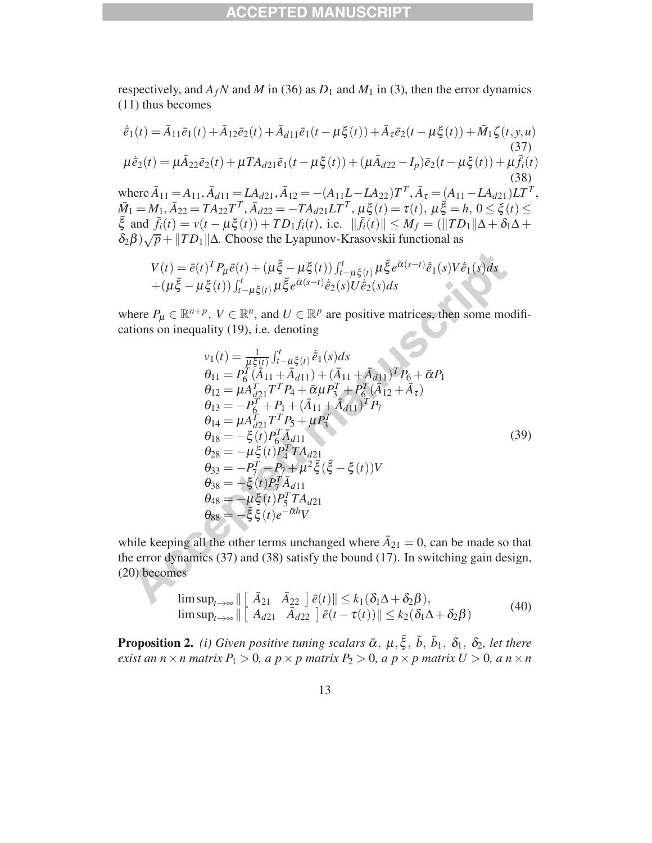respectively, and  $A_fN$  and *M* in (36) as  $D_1$  and  $M_1$  in (3), then the error dynamics (11) thus becomes

$$
\dot{\bar{e}}_1(t) = \bar{A}_{11}\bar{e}_1(t) + \bar{A}_{12}\bar{e}_2(t) + \bar{A}_{d11}\bar{e}_1(t - \mu\xi(t)) + \bar{A}_{\tau}\bar{e}_2(t - \mu\xi(t)) + \bar{M}_1\zeta(t, y, u)
$$
\n(37)  
\n
$$
\mu\dot{\bar{e}}_2(t) = \mu\bar{A}_{22}\bar{e}_2(t) + \mu T A_{d21}\bar{e}_1(t - \mu\xi(t)) + (\mu\bar{A}_{d22} - I_p)\bar{e}_2(t - \mu\xi(t)) + \mu\bar{f}_i(t)
$$
\n(38)  
\nwhere  $\bar{A}_{11} = A_{11}, \bar{A}_{d11} = LA_{d21}, \bar{A}_{12} = -(A_{11}L - LA_{22})T^T, \bar{A}_{\tau} = (A_{11} - LA_{d21})LT^T,$   
\n
$$
\bar{M}_1 = M_1, \bar{A}_{22} = TA_{22}T^T, \bar{A}_{d22} = -TA_{d21}LT^T, \mu\xi(t) = \tau(t), \mu\xi = h, 0 \le \xi(t) \le \bar{\xi}
$$
\nand  $\bar{f}_i(t) = v(t - \mu\xi(t)) + TD_1f_i(t),$  i.e.  $||\bar{f}_i(t)|| \le M_f = (||TD_1||\Delta + \delta_1\Delta + \delta_2\beta)\sqrt{p} + ||TD_1||\Delta.$  Choose the Lyapunov-Krasovskii functional as

$$
V(t) = \bar{e}(t)^T P_{\mu} \bar{e}(t) + (\mu \bar{\xi} - \mu \xi(t)) \int_{t-\mu \xi(t)}^t \mu \bar{\xi} e^{\bar{\alpha}(s-t)} \dot{e}_1(s) V \dot{e}_1(s) ds + (\mu \bar{\xi} - \mu \xi(t)) \int_{t-\mu \xi(t)}^t \mu \bar{\xi} e^{\bar{\alpha}(s-t)} \dot{e}_2(s) U \dot{e}_2(s) ds
$$

where  $P_{\mu} \in \mathbb{R}^{n+p}$ ,  $V \in \mathbb{R}^{n}$ , and  $U \in \mathbb{R}^{p}$  are positive matrices, then some modifications on inequality (19), i.e. denoting

$$
v_1(t) = \frac{1}{\mu\xi(t)} \int_{t-\mu\xi(t)}^{t} \dot{e}_1(s) ds
$$
  
\n
$$
\theta_{11} = P_6^T (\bar{A}_{11} + \bar{A}_{d11}) + (\bar{A}_{11} + \bar{A}_{d11})^T P_6 + \bar{\alpha} P_1
$$
  
\n
$$
\theta_{12} = \mu A_{d21}^T T^T P_4 + \bar{\alpha} \mu P_3^T + P_6^T (\bar{A}_{12} + \bar{A}_7)
$$
  
\n
$$
\theta_{13} = -P_6^T + P_1 + (\bar{A}_{11} + \bar{A}_{d11})^T P_7
$$
  
\n
$$
\theta_{14} = \mu A_{d21}^T T^T P_5 + \mu P_3^T
$$
  
\n
$$
\theta_{18} = -\xi(t) P_6^T \bar{A}_{d11}
$$
  
\n
$$
\theta_{28} = -\mu\xi(t) P_4^T T A_{d21}
$$
  
\n
$$
\theta_{33} = -P_7^T - P_7 + \mu^2 \bar{\xi}(\bar{\xi} - \xi(t)) V
$$
  
\n
$$
\theta_{38} = -\xi(t) P_7^T \bar{A}_{d11}
$$
  
\n
$$
\theta_{48} = -\mu\xi(t) P_5^T T A_{d21}
$$
  
\n
$$
\theta_{88} = -\bar{\xi}\xi(t) e^{-\bar{\alpha}h} V
$$
  
\n(39)

while keeping all the other terms unchanged where  $\bar{A}_{21} = 0$ , can be made so that the error dynamics (37) and (38) satisfy the bound (17). In switching gain design, (20) becomes

$$
\limsup_{t \to \infty} \|\begin{bmatrix} \bar{A}_{21} & \bar{A}_{22} \end{bmatrix} \vec{e}(t)\| \le k_1(\delta_1 \Delta + \delta_2 \beta),
$$
\n
$$
\limsup_{t \to \infty} \|\begin{bmatrix} A_{d21} & \bar{A}_{d22} \end{bmatrix} \vec{e}(t - \tau(t))\| \le k_2(\delta_1 \Delta + \delta_2 \beta) \tag{40}
$$

**Proposition 2.** *(i)* Given positive tuning scalars  $\bar{\alpha}$ ,  $\mu$ ,  $\bar{\xi}$ ,  $\bar{b}$ ,  $\bar{b}_1$ ,  $\delta_1$ ,  $\delta_2$ , let there *exist an n*  $\times$  *n* matrix  $P_1$   $>$  0*, a p*  $\times$  *p* matrix  $P_2$   $>$  0*, a p*  $\times$  *p* matrix  $U$   $>$  0*, a n*  $\times$  *n*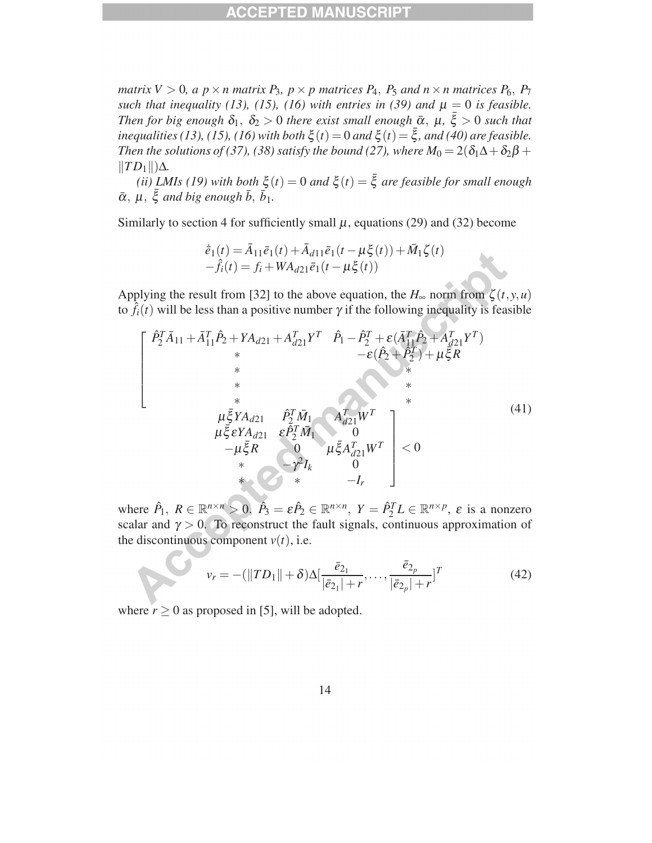*matrix V* > 0*, a p* × *n* matrix P<sub>3</sub>, p × p matrices P<sub>4</sub>, P<sub>5</sub> and  $n \times n$  matrices P<sub>6</sub>, P<sub>7</sub> *such that inequality (13), (15), (16) with entries in (39) and*  $\mu = 0$  *is feasible. Then for big enough*  $\delta_1$ ,  $\delta_2 > 0$  *there exist small enough*  $\bar{\alpha}$ ,  $\mu$ ,  $\bar{\xi} > 0$  *such that inequalities (13), (15), (16) with both*  $\xi(t) = 0$  *and*  $\xi(t) = \overline{\xi}$ *, and (40) are feasible. Then the solutions of (37), (38) satisfy the bound (27), where*  $M_0 = 2(\delta_1 \Delta + \delta_2 \beta +$  $||TD_1||$ )Δ*.* 

 $(iii)$  *LMIs* (19) with both  $\xi(t) = 0$  and  $\xi(t) = \overline{\xi}$  are feasible for small enough  $\bar{\alpha}$ ,  $\mu$ ,  $\bar{\xi}$  and big enough  $\bar{b}$ ,  $\bar{b}_1$ .

Similarly to section 4 for sufficiently small  $\mu$ , equations (29) and (32) become

$$
\dot{\bar{e}}_1(t) = \bar{A}_{11}\bar{e}_1(t) + \bar{A}_{d11}\bar{e}_1(t - \mu \xi(t)) + \bar{M}_1\zeta(t) \n-\hat{f}_i(t) = f_i + WA_{d21}\bar{e}_1(t - \mu \xi(t))
$$

Applying the result from [32] to the above equation, the  $H_{\infty}$  norm from  $\zeta(t, y, u)$ to  $\hat{f}_i(t)$  will be less than a positive number  $\gamma$  if the following inequality is feasible

$$
\begin{bmatrix}\n\hat{P}_{2}^{T}\bar{A}_{11} + \bar{A}_{11}^{T}\hat{P}_{2} + YA_{d21} + A_{d21}^{T}Y^{T} & \hat{P}_{1} - \hat{P}_{2}^{T} + \varepsilon(\bar{A}_{11}^{T}\hat{P}_{2} + A_{d21}^{T}Y^{T}) \\
& \ast \\
& \ast \\
& \ast \\
& \ast \\
& \mu \bar{\xi}YA_{d21} & \hat{P}_{2}^{T}\bar{M}_{1} & A_{d21}^{T}W^{T} \\
& \mu \bar{\xi}\varepsilon YA_{d21} & \varepsilon\hat{P}_{2}^{T}\bar{M}_{1} & 0 \\
& \ast \\
& \ast \\
& -\mu \bar{\xi}R & 0 & \mu \bar{\xi}A_{d21}^{T}W^{T} \\
& \ast \\
& \ast \\
& \ast \\
& \ast\n\end{bmatrix} \times (41)
$$

where  $\hat{P}_1$ ,  $R \in \mathbb{R}^{n \times n} > 0$ ,  $\hat{P}_3 = \varepsilon \hat{P}_2 \in \mathbb{R}^{n \times n}$ ,  $Y = \hat{P}_2^T L \in \mathbb{R}^{n \times p}$ ,  $\varepsilon$  is a nonzero scalar and  $\gamma > 0$ . To reconstruct the fault signals, continuous approximation of the discontinuous component  $v(t)$ , i.e.

$$
v_r = -(\|TD_1\| + \delta)\Delta[\frac{\bar{e}_{2_1}}{|\bar{e}_{2_1}| + r}, \dots, \frac{\bar{e}_{2_p}}{|\bar{e}_{2_p}| + r}]^T
$$
(42)

where  $r \geq 0$  as proposed in [5], will be adopted.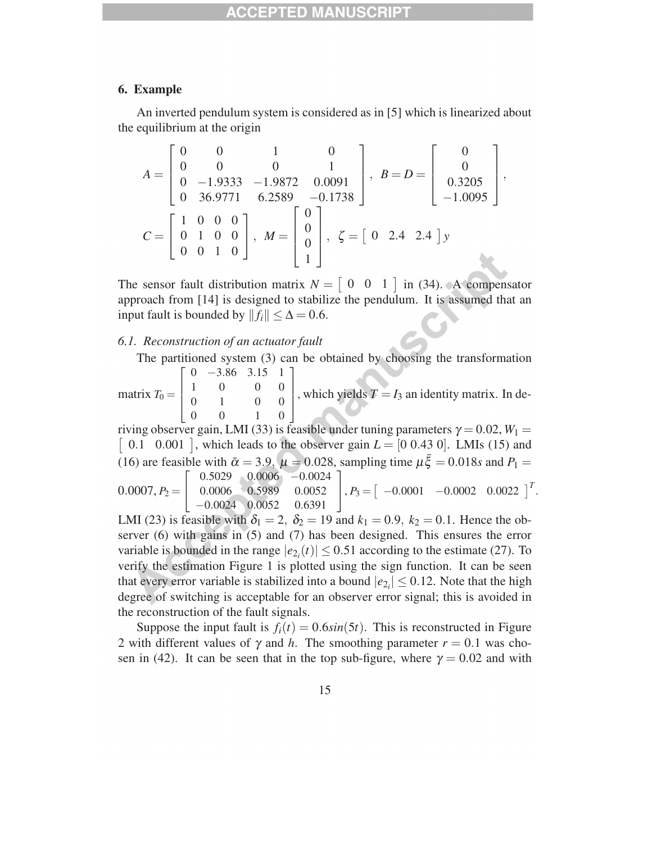### **6. Example**

An inverted pendulum system is considered as in [5] which is linearized about the equilibrium at the origin

$$
A = \begin{bmatrix} 0 & 0 & 1 & 0 \\ 0 & 0 & 0 & 1 \\ 0 & -1.9333 & -1.9872 & 0.0091 \\ 0 & 36.9771 & 6.2589 & -0.1738 \end{bmatrix}, B = D = \begin{bmatrix} 0 \\ 0 \\ 0.3205 \\ -1.0095 \end{bmatrix},
$$
  

$$
C = \begin{bmatrix} 1 & 0 & 0 & 0 \\ 0 & 1 & 0 & 0 \\ 0 & 0 & 1 & 0 \end{bmatrix}, M = \begin{bmatrix} 0 \\ 0 \\ 0 \\ 1 \end{bmatrix}, \zeta = \begin{bmatrix} 0 & 2.4 & 2.4 \end{bmatrix} y
$$

The sensor fault distribution matrix  $N = \begin{bmatrix} 0 & 0 & 1 \end{bmatrix}$  in (34). A compensator approach from [14] is designed to stabilize the pendulum. It is assumed that an input fault is bounded by  $||f_i|| \leq \Delta = 0.6$ .

### *6.1. Reconstruction of an actuator fault*

The partitioned system (3) can be obtained by choosing the transformation  $\lceil$ 0 −3*.*86 3*.*15 1 ⎤

matrix  $T_0 =$  $\frac{1}{2}$ 1 0 00  $0 \t 1 \t 0 \t 0$ 0 0 10 which yields  $T = I_3$  an identity matrix. In de-

riving observer gain, LMI (33) is feasible under tuning parameters  $\gamma = 0.02$ ,  $W_1 =$  $[0.1 \ 0.001]$ , which leads to the observer gain  $L = [0 \ 0.43 \ 0]$ . LMIs (15) and (16) are feasible with  $\bar{\alpha} = 3.9$ ,  $\mu = 0.028$ , sampling time  $\mu \bar{\xi} = 0.018s$  and  $P_1 =$  $\lceil$ 0*.*5029 0*.*0006 −0*.*0024 ⎤

 $0.0007, P_2 =$  $\overline{\phantom{a}}$ 0*.*0006 0*.*5989 0*.*0052 −0*.*0024 0*.*0052 0*.*6391  $\Big\}, P_3 = \Big[ \begin{array}{cc} -0.0001 & -0.0002 & 0.0022 \end{array} \Big]^T.$ 

LMI (23) is feasible with  $\delta_1 = 2$ ,  $\delta_2 = 19$  and  $k_1 = 0.9$ ,  $k_2 = 0.1$ . Hence the observer (6) with gains in (5) and (7) has been designed. This ensures the error variable is bounded in the range  $|e_{2i}(t)| \leq 0.51$  according to the estimate (27). To verify the estimation Figure 1 is plotted using the sign function. It can be seen that every error variable is stabilized into a bound  $|e_{2i}| \le 0.12$ . Note that the high degree of switching is acceptable for an observer error signal; this is avoided in the reconstruction of the fault signals.

Suppose the input fault is  $f_i(t) = 0.6\sin(5t)$ . This is reconstructed in Figure 2 with different values of  $\gamma$  and *h*. The smoothing parameter  $r = 0.1$  was chosen in (42). It can be seen that in the top sub-figure, where  $\gamma = 0.02$  and with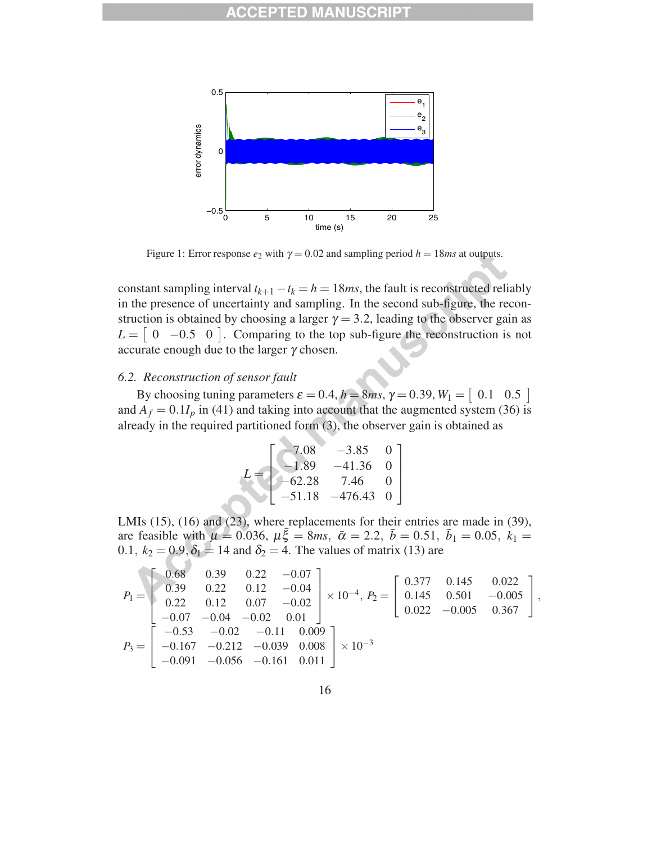#### PTED M CCE



Figure 1: Error response  $e_2$  with  $\gamma = 0.02$  and sampling period  $h = 18$ *ms* at outputs.

constant sampling interval  $t_{k+1} - t_k = h = 18ms$ , the fault is reconstructed reliably in the presence of uncertainty and sampling. In the second sub-figure, the reconstruction is obtained by choosing a larger  $\gamma = 3.2$ , leading to the observer gain as  $L = \begin{bmatrix} 0 & -0.5 & 0 \end{bmatrix}$ . Comparing to the top sub-figure the reconstruction is not accurate enough due to the larger  $\gamma$  chosen.

#### *6.2. Reconstruction of sensor fault*

By choosing tuning parameters  $\varepsilon = 0.4$ ,  $h = 8$ *ms*,  $\gamma = 0.39$ ,  $W_1 = \begin{bmatrix} 0.1 & 0.5 \end{bmatrix}$ and  $A_f = 0.1I_p$  in (41) and taking into account that the augmented system (36) is already in the required partitioned form (3), the observer gain is obtained as

 $\Delta$ 

$$
L = \begin{bmatrix} -7.08 & -3.85 & 0 \\ -1.89 & -41.36 & 0 \\ -62.28 & 7.46 & 0 \\ -51.18 & -476.43 & 0 \end{bmatrix}
$$

LMIs (15), (16) and (23), where replacements for their entries are made in (39), are feasible with  $\mu = 0.036$ ,  $\mu \bar{\xi} = 8ms$ ,  $\bar{\alpha} = 2.2$ ,  $\bar{b} = 0.51$ ,  $\bar{b}_1 = 0.05$ ,  $\bar{k}_1 = 0$ 0.1,  $k_2 = 0.9, \delta_1 = 14$  and  $\delta_2 = 4$ . The values of matrix (13) are

$$
P_1 = \begin{bmatrix} 0.68 & 0.39 & 0.22 & -0.07 \\ 0.39 & 0.22 & 0.12 & -0.04 \\ 0.22 & 0.12 & 0.07 & -0.02 \\ -0.07 & -0.04 & -0.02 & 0.01 \end{bmatrix} \times 10^{-4}, P_2 = \begin{bmatrix} 0.377 & 0.145 & 0.022 \\ 0.145 & 0.501 & -0.005 \\ 0.022 & -0.005 & 0.367 \end{bmatrix},
$$
  
\n
$$
P_3 = \begin{bmatrix} -0.53 & -0.02 & -0.11 & 0.009 \\ -0.167 & -0.212 & -0.039 & 0.008 \\ -0.091 & -0.056 & -0.161 & 0.011 \end{bmatrix} \times 10^{-3}
$$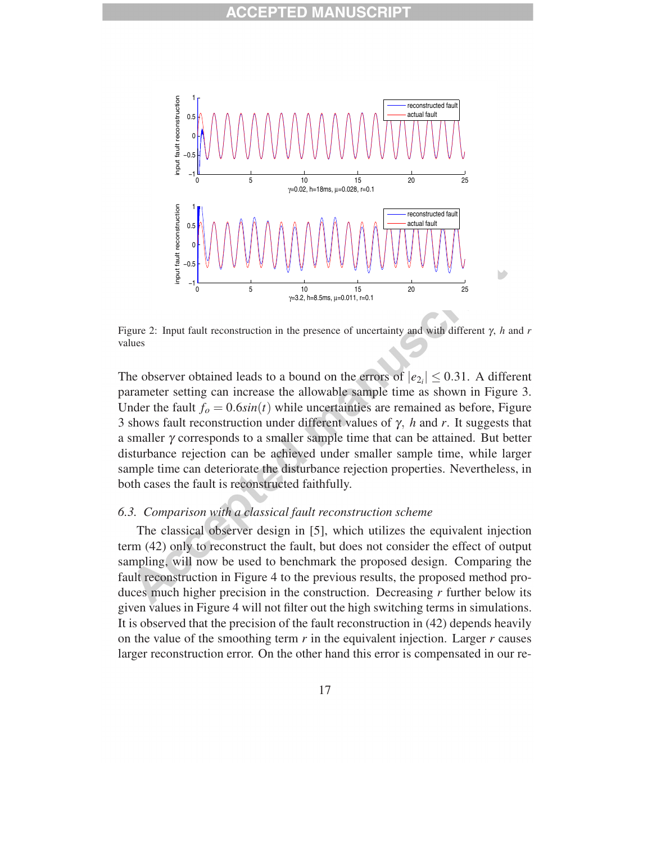

Figure 2: Input fault reconstruction in the presence of uncertainty and with different γ, *h* and *r* values

The observer obtained leads to a bound on the errors of  $|e_{2i}| \le 0.31$ . A different parameter setting can increase the allowable sample time as shown in Figure 3. Under the fault  $f_0 = 0.6\sin(t)$  while uncertainties are remained as before, Figure 3 shows fault reconstruction under different values of γ*, h* and *r*. It suggests that a smaller γ corresponds to a smaller sample time that can be attained. But better disturbance rejection can be achieved under smaller sample time, while larger sample time can deteriorate the disturbance rejection properties. Nevertheless, in both cases the fault is reconstructed faithfully.

#### *6.3. Comparison with a classical fault reconstruction scheme*

The classical observer design in [5], which utilizes the equivalent injection term (42) only to reconstruct the fault, but does not consider the effect of output sampling, will now be used to benchmark the proposed design. Comparing the fault reconstruction in Figure 4 to the previous results, the proposed method produces much higher precision in the construction. Decreasing *r* further below its given values in Figure 4 will not filter out the high switching terms in simulations. It is observed that the precision of the fault reconstruction in (42) depends heavily on the value of the smoothing term  $r$  in the equivalent injection. Larger  $r$  causes larger reconstruction error. On the other hand this error is compensated in our re-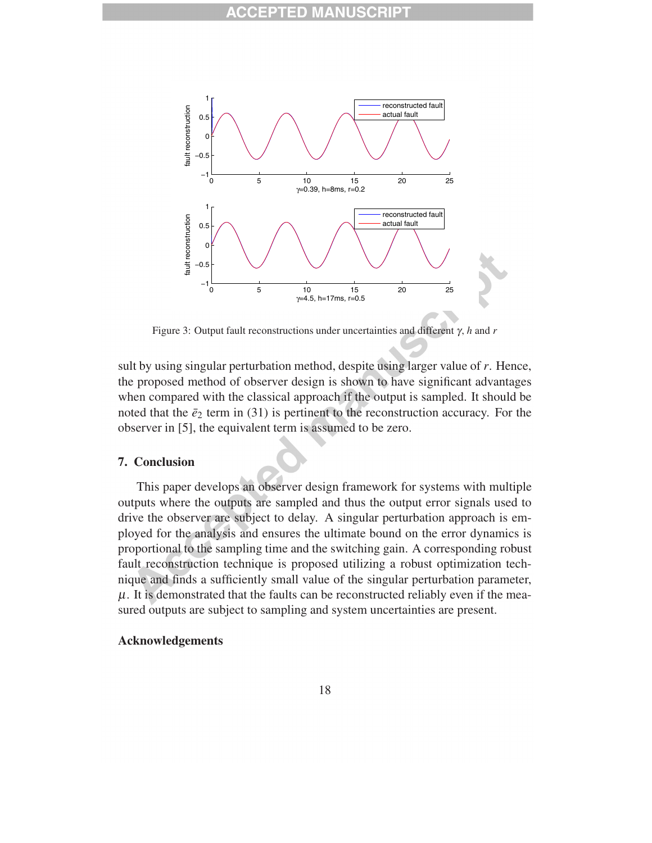

Figure 3: Output fault reconstructions under uncertainties and different γ, *h* and *r*

sult by using singular perturbation method, despite using larger value of *r*. Hence, the proposed method of observer design is shown to have significant advantages when compared with the classical approach if the output is sampled. It should be noted that the  $\bar{e}_2$  term in (31) is pertinent to the reconstruction accuracy. For the observer in [5], the equivalent term is assumed to be zero.

#### **7. Conclusion**

This paper develops an observer design framework for systems with multiple outputs where the outputs are sampled and thus the output error signals used to drive the observer are subject to delay. A singular perturbation approach is employed for the analysis and ensures the ultimate bound on the error dynamics is proportional to the sampling time and the switching gain. A corresponding robust fault reconstruction technique is proposed utilizing a robust optimization technique and finds a sufficiently small value of the singular perturbation parameter,  $\mu$ . It is demonstrated that the faults can be reconstructed reliably even if the measured outputs are subject to sampling and system uncertainties are present.

#### **Acknowledgements**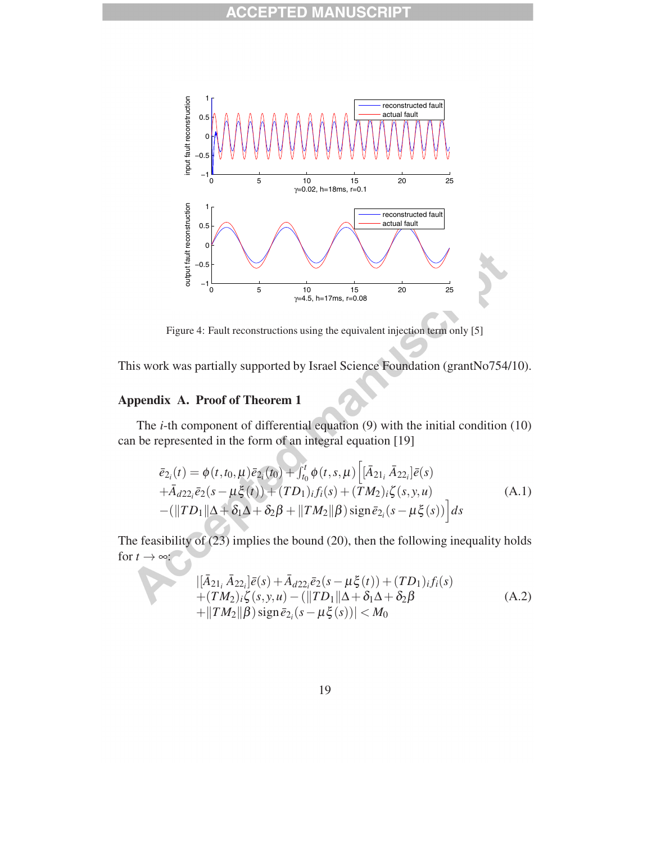

Figure 4: Fault reconstructions using the equivalent injection term only [5]

This work was partially supported by Israel Science Foundation (grantNo754/10).

# **Appendix A. Proof of Theorem 1**

The *i*-th component of differential equation (9) with the initial condition (10) can be represented in the form of an integral equation [19]

$$
\bar{e}_{2_i}(t) = \phi(t, t_0, \mu) \bar{e}_{2_i}(t_0) + \int_{t_0}^t \phi(t, s, \mu) \left[ [\bar{A}_{21_i} \bar{A}_{22_i}] \bar{e}(s) + \bar{A}_{d22_i} \bar{e}_2(s - \mu \xi(t)) + (TD_1)_{i} f_i(s) + (TM_2)_{i} \zeta(s, y, u) - (\| TD_1 \| \Delta + \delta_1 \Delta + \delta_2 \beta + \| TM_2 \| \beta) \operatorname{sign} \bar{e}_{2_i}(s - \mu \xi(s)) \right] ds \tag{A.1}
$$

The feasibility of (23) implies the bound (20), then the following inequality holds for  $t \to \infty$ :

$$
\begin{aligned} &\left|[\bar{A}_{21_i} \bar{A}_{22_i}]\bar{e}(s) + \bar{A}_{d22_i} \bar{e}_2(s - \mu \xi(t)) + (TD_1)_{i} f_i(s) \right. \\ &\left. + (TM_2)_{i} \zeta(s, y, u) - (\|TD_1\| \Delta + \delta_1 \Delta + \delta_2 \beta) \right. \\ &\left. + \|TM_2\| \beta \right) \text{sign} \bar{e}_2(s - \mu \xi(s))| < M_0 \end{aligned} \tag{A.2}
$$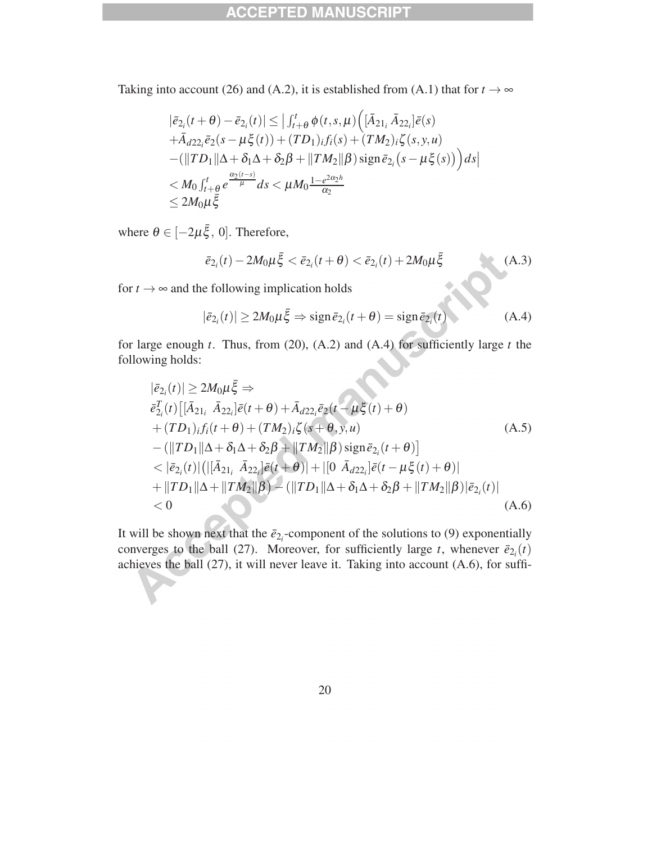Taking into account (26) and (A.2), it is established from (A.1) that for  $t \to \infty$ 

$$
\begin{aligned} |\bar{e}_{2_i}(t+\theta) - \bar{e}_{2_i}(t)| &\leq | \int_{t+\theta}^t \phi(t,s,\mu) \Big( [\bar{A}_{21_i} \, \bar{A}_{22_i}] \bar{e}(s) \\ + \bar{A}_{d22_i} \bar{e}_2(s - \mu \xi(t)) + (TD_1)_i f_i(s) + (TM_2)_i \zeta(s,y,u) \\ - (||TD_1||\Delta + \delta_1 \Delta + \delta_2 \beta + ||TM_2||\beta) \operatorname{sign} \bar{e}_{2_i}(s - \mu \xi(s)) \Big) ds | \\ &< M_0 \int_{t+\theta}^t e^{\frac{\alpha_2(t-s)}{\mu}} ds < \mu M_0 \frac{1 - e^{2\alpha_2 h}}{\alpha_2} \\ &\leq 2M_0 \mu \bar{\xi} \end{aligned}
$$

where  $\theta \in [-2\mu \bar{\xi}, 0]$ . Therefore,

$$
\bar{e}_{2_i}(t) - 2M_0\mu \bar{\xi} < \bar{e}_{2_i}(t+\theta) < \bar{e}_{2_i}(t) + 2M_0\mu \bar{\xi} \tag{A.3}
$$

 $\overline{ }$ 

for  $t \rightarrow \infty$  and the following implication holds

$$
|\bar{e}_{2_i}(t)| \ge 2M_0\mu\xi \Rightarrow \text{sign}\,\bar{e}_{2_i}(t+\theta) = \text{sign}\,\bar{e}_{2_i}(t) \tag{A.4}
$$

for large enough *t*. Thus, from (20), (A.2) and (A.4) for sufficiently large *t* the following holds:

$$
|\bar{e}_{2_i}(t)| \ge 2M_0\mu\xi \Rightarrow
$$
  
\n
$$
\bar{e}_{2_i}^T(t) [[\bar{A}_{21_i} \ \bar{A}_{22_i}]\bar{e}(t+\theta) + \bar{A}_{d22_i}\bar{e}_2(t-\mu\xi(t)+\theta) + (TD_1)_{i}f_i(t+\theta) + (TM_2)_{i}\zeta(s+\theta,y,u)
$$
\n(A.5)  
\n
$$
-(\|TD_1\|\Delta + \delta_1\Delta + \delta_2\beta + \|TM_2\|\beta) \operatorname{sign}\bar{e}_{2_i}(t+\theta) ]
$$
\n
$$
< |\bar{e}_{2_i}(t)| \big( [[\bar{A}_{21_i} \ \bar{A}_{22_i}]\bar{e}(t+\theta) + |[0 \ \bar{A}_{d22_i}]\bar{e}(t-\mu\xi(t)+\theta) | + \|TD_1\|\Delta + \|TM_2\|\beta) - (||TD_1\|\Delta + \delta_1\Delta + \delta_2\beta + \|TM_2\|\beta) | \bar{e}_{2_i}(t)|
$$
\n
$$
< 0
$$
\n(A.6)

It will be shown next that the  $\bar{e}_{2i}$ -component of the solutions to (9) exponentially converges to the ball (27). Moreover, for sufficiently large *t*, whenever  $\bar{e}_{2i}(t)$ achieves the ball (27), it will never leave it. Taking into account (A.6), for suffi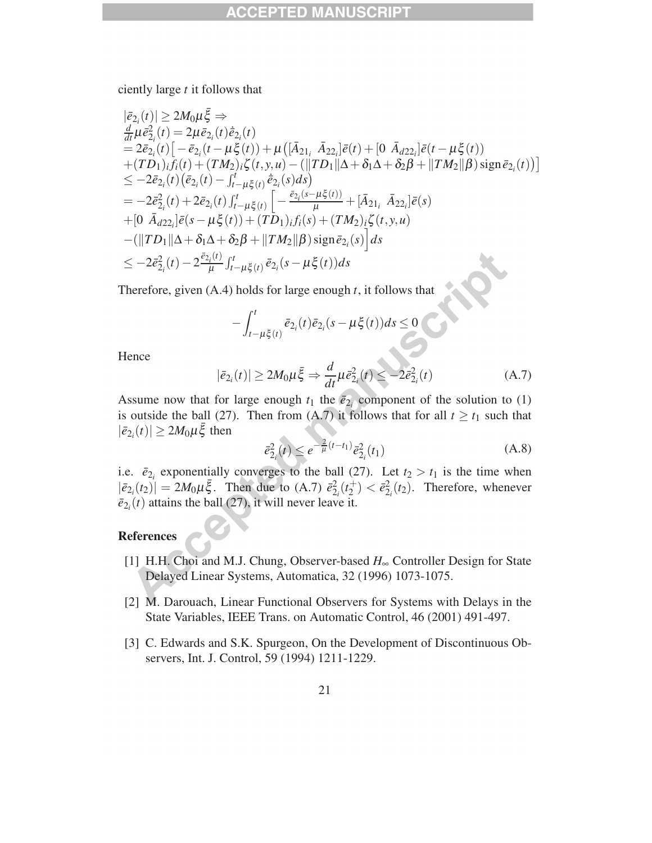ciently large *t* it follows that

$$
\begin{split}\n|\bar{e}_{2_{i}}(t)| &\geq 2M_{0}\mu\bar{\xi} \Rightarrow \\
\frac{d}{dt}\mu\bar{e}_{2_{i}}^{2}(t) &= 2\mu\bar{e}_{2_{i}}(t)\bar{e}_{2_{i}}(t) \\
&= 2\bar{e}_{2_{i}}(t)\left[-\bar{e}_{2_{i}}(t-\mu\xi(t))+\mu\left([\bar{A}_{21_{i}}\ \bar{A}_{22_{i}}]\bar{e}(t)+[0\ \bar{A}_{d22_{i}}]\bar{e}(t-\mu\xi(t))\right.\right. \\
&\quad \left.+(TD_{1})_{i}f_{i}(t)+(TM_{2})_{i}\zeta(t,y,u)-(\|TD_{1}\|\Delta+\delta_{1}\Delta+\delta_{2}\beta+\|TM_{2}\|\beta)\operatorname{sign}\bar{e}_{2_{i}}(t)\right)\right] \\
&\leq -2\bar{e}_{2_{i}}(t)\left(\bar{e}_{2_{i}}(t)-\int_{t-\mu\xi(t)}^{t}\bar{e}_{2_{i}}(s)ds\right) \\
&= -2\bar{e}_{2_{i}}^{2}(t)+2\bar{e}_{2_{i}}(t)\int_{t-\mu\xi(t)}^{t}\left[-\frac{\bar{e}_{2_{i}}(s-\mu\xi(t))}{\mu}+[\bar{A}_{21_{i}}\ \bar{A}_{22_{i}}]\bar{e}(s) \\
&+[0\ \bar{A}_{d22_{i}}]\bar{e}(s-\mu\xi(t))+(TD_{1})_{i}f_{i}(s)+(TM_{2})_{i}\zeta(t,y,u) \\
&-(\|TD_{1}\|\Delta+\delta_{1}\Delta+\delta_{2}\beta+\|TM_{2}\|\beta)\operatorname{sign}\bar{e}_{2_{i}}(s)\right]ds \\
&\leq -2\bar{e}_{2_{i}}^{2}(t)-2\frac{\bar{e}_{2_{i}}(t)}{\mu}\int_{t-\mu\xi(t)}^{t}\bar{e}_{2_{i}}(s-\mu\xi(t))ds\n\end{split}
$$

Therefore, given (A.4) holds for large enough *t*, it follows that

$$
-\int_{t-\mu\xi(t)}^t \bar{e}_{2_i}(t)\bar{e}_{2_i}(s-\mu\xi(t))ds \leq 0
$$

Hence

$$
|\bar{e}_{2_i}(t)| \ge 2M_0\mu\xi \Rightarrow \frac{d}{dt}\mu\bar{e}_{2_i}^2(t) \le -2\bar{e}_{2_i}^2(t) \tag{A.7}
$$

Assume now that for large enough  $t_1$  the  $\bar{e}_{2i}$  component of the solution to (1) is outside the ball (27). Then from (A.7) it follows that for all  $t \ge t_1$  such that  $|\bar{e}_{2_i}(t)| \ge 2M_0 \mu \bar{\xi}$  then

$$
\bar{e}_{2_i}^2(t) \le e^{-\frac{2}{\mu}(t-t_1)} \bar{e}_{2_i}^2(t_1)
$$
\n(A.8)

i.e.  $\bar{e}_{2i}$  exponentially converges to the ball (27). Let  $t_2 > t_1$  is the time when  $|\bar{e}_{2i}(t_2)| = 2M_0\mu\bar{\xi}$ . Then due to (A.7)  $\bar{e}_{2i}^2(t_2^+) < \bar{e}_{2i}^2(t_2)$ . Therefore, whenever  $\bar{e}_{2i}(t)$  attains the ball (27), it will never leave it.

## **References**

- [1] H.H. Choi and M.J. Chung, Observer-based *H*∞ Controller Design for State Delayed Linear Systems, Automatica, 32 (1996) 1073-1075.
- [2] M. Darouach, Linear Functional Observers for Systems with Delays in the State Variables, IEEE Trans. on Automatic Control, 46 (2001) 491-497.
- [3] C. Edwards and S.K. Spurgeon, On the Development of Discontinuous Observers, Int. J. Control, 59 (1994) 1211-1229.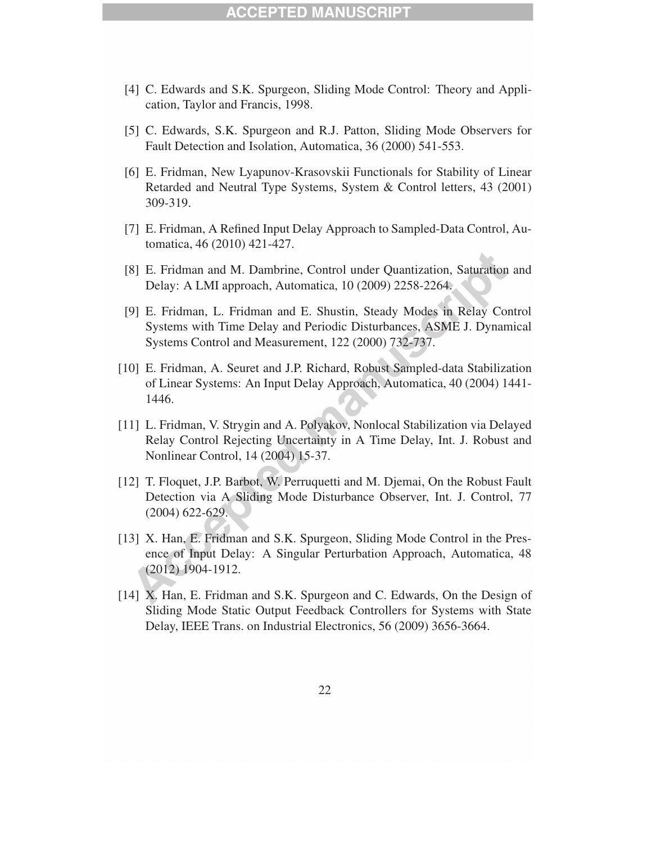- [4] C. Edwards and S.K. Spurgeon, Sliding Mode Control: Theory and Application, Taylor and Francis, 1998.
- [5] C. Edwards, S.K. Spurgeon and R.J. Patton, Sliding Mode Observers for Fault Detection and Isolation, Automatica, 36 (2000) 541-553.
- [6] E. Fridman, New Lyapunov-Krasovskii Functionals for Stability of Linear Retarded and Neutral Type Systems, System & Control letters, 43 (2001) 309-319.
- [7] E. Fridman, A Refined Input Delay Approach to Sampled-Data Control, Automatica, 46 (2010) 421-427.
- [8] E. Fridman and M. Dambrine, Control under Quantization, Saturation and Delay: A LMI approach, Automatica, 10 (2009) 2258-2264.
- [9] E. Fridman, L. Fridman and E. Shustin, Steady Modes in Relay Control Systems with Time Delay and Periodic Disturbances, ASME J. Dynamical Systems Control and Measurement, 122 (2000) 732-737.
- [10] E. Fridman, A. Seuret and J.P. Richard, Robust Sampled-data Stabilization of Linear Systems: An Input Delay Approach, Automatica, 40 (2004) 1441- 1446.
- [11] L. Fridman, V. Strygin and A. Polyakov, Nonlocal Stabilization via Delayed Relay Control Rejecting Uncertainty in A Time Delay, Int. J. Robust and Nonlinear Control, 14 (2004) 15-37.
- [12] T. Floquet, J.P. Barbot, W. Perruquetti and M. Djemai, On the Robust Fault Detection via A Sliding Mode Disturbance Observer, Int. J. Control, 77 (2004) 622-629.
- [13] X. Han, E. Fridman and S.K. Spurgeon, Sliding Mode Control in the Presence of Input Delay: A Singular Perturbation Approach, Automatica, 48 (2012) 1904-1912.
- [14] X. Han, E. Fridman and S.K. Spurgeon and C. Edwards, On the Design of Sliding Mode Static Output Feedback Controllers for Systems with State Delay, IEEE Trans. on Industrial Electronics, 56 (2009) 3656-3664.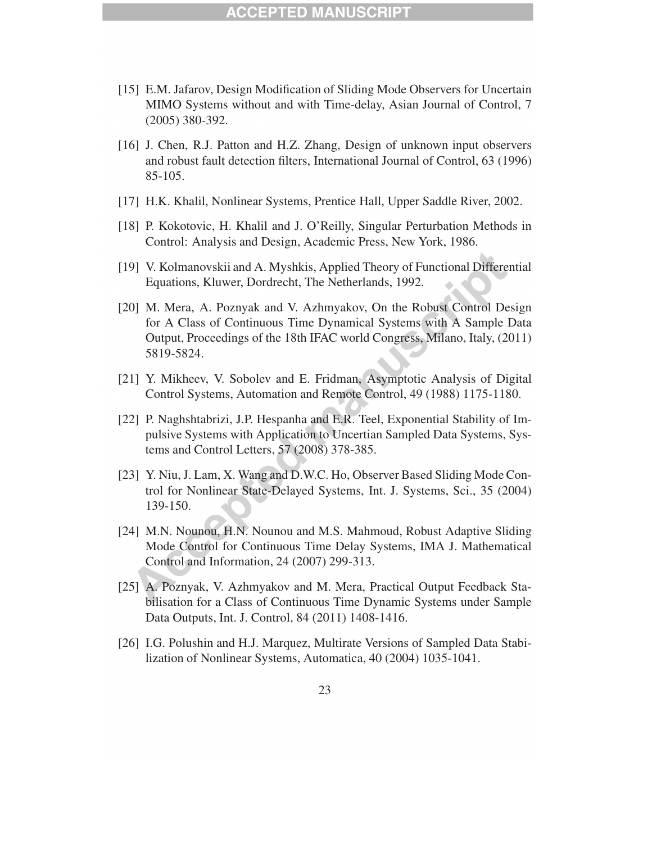- [15] E.M. Jafarov, Design Modification of Sliding Mode Observers for Uncertain MIMO Systems without and with Time-delay, Asian Journal of Control, 7 (2005) 380-392.
- [16] J. Chen, R.J. Patton and H.Z. Zhang, Design of unknown input observers and robust fault detection filters, International Journal of Control, 63 (1996) 85-105.
- [17] H.K. Khalil, Nonlinear Systems, Prentice Hall, Upper Saddle River, 2002.
- [18] P. Kokotovic, H. Khalil and J. O'Reilly, Singular Perturbation Methods in Control: Analysis and Design, Academic Press, New York, 1986.
- [19] V. Kolmanovskii and A. Myshkis, Applied Theory of Functional Differential Equations, Kluwer, Dordrecht, The Netherlands, 1992.
- [20] M. Mera, A. Poznyak and V. Azhmyakov, On the Robust Control Design for A Class of Continuous Time Dynamical Systems with A Sample Data Output, Proceedings of the 18th IFAC world Congress, Milano, Italy, (2011) 5819-5824.
- [21] Y. Mikheev, V. Sobolev and E. Fridman, Asymptotic Analysis of Digital Control Systems, Automation and Remote Control, 49 (1988) 1175-1180.
- [22] P. Naghshtabrizi, J.P. Hespanha and E.R. Teel, Exponential Stability of Impulsive Systems with Application to Uncertian Sampled Data Systems, Systems and Control Letters, 57 (2008) 378-385.
- [23] Y. Niu, J. Lam, X. Wang and D.W.C. Ho, Observer Based Sliding Mode Control for Nonlinear State-Delayed Systems, Int. J. Systems, Sci., 35 (2004) 139-150.
- [24] M.N. Nounou, H.N. Nounou and M.S. Mahmoud, Robust Adaptive Sliding Mode Control for Continuous Time Delay Systems, IMA J. Mathematical Control and Information, 24 (2007) 299-313.
- [25] A. Poznyak, V. Azhmyakov and M. Mera, Practical Output Feedback Stabilisation for a Class of Continuous Time Dynamic Systems under Sample Data Outputs, Int. J. Control, 84 (2011) 1408-1416.
- [26] I.G. Polushin and H.J. Marquez, Multirate Versions of Sampled Data Stabilization of Nonlinear Systems, Automatica, 40 (2004) 1035-1041.